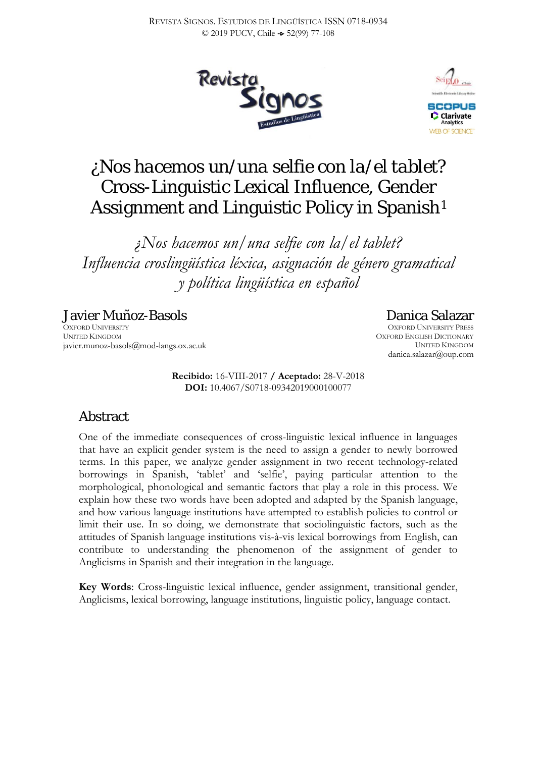



# *¿Nos hacemos un/una selfie con la/el tablet?* Cross-Linguistic Lexical Influence, Gender Assignment and Linguistic Policy in Spanish<sup>[1](#page-31-0)</sup>

*¿Nos hacemos un/una selfie con la/el tablet? Influencia croslingüística léxica, asignación de género gramatical y política lingüística en español*

Javier Muñoz-Basols OXFORD UNIVERSITY UNITED KINGDOM javier.munoz-basols@mod-langs.ox.ac.uk

> **Recibido:** 16-VIII-2017 **/ Aceptado:** 28-V-2018 **DOI:** 10.4067/S0718-09342019000100077

# Abstract

One of the immediate consequences of cross-linguistic lexical influence in languages that have an explicit gender system is the need to assign a gender to newly borrowed terms. In this paper, we analyze gender assignment in two recent technology-related borrowings in Spanish, 'tablet' and 'selfie', paying particular attention to the morphological, phonological and semantic factors that play a role in this process. We explain how these two words have been adopted and adapted by the Spanish language, and how various language institutions have attempted to establish policies to control or limit their use. In so doing, we demonstrate that sociolinguistic factors, such as the attitudes of Spanish language institutions vis-à-vis lexical borrowings from English, can contribute to understanding the phenomenon of the assignment of gender to Anglicisms in Spanish and their integration in the language.

**Key Words**: Cross-linguistic lexical influence, gender assignment, transitional gender, Anglicisms, lexical borrowing, language institutions, linguistic policy, language contact.

## Danica Salazar

OXFORD UNIVERSITY PRESS OXFORD ENGLISH DICTIONARY UNITED KINGDOM danica.salazar@oup.com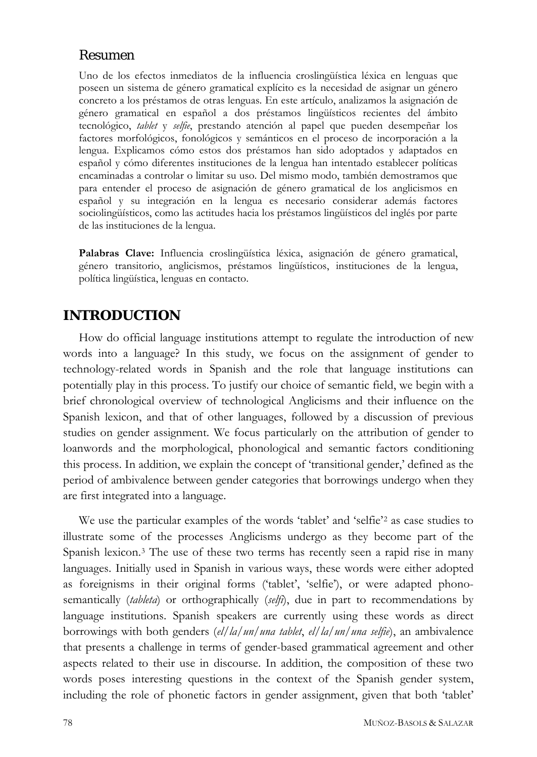## Resumen

Uno de los efectos inmediatos de la influencia croslingüística léxica en lenguas que poseen un sistema de género gramatical explícito es la necesidad de asignar un género concreto a los préstamos de otras lenguas. En este artículo, analizamos la asignación de género gramatical en español a dos préstamos lingüísticos recientes del ámbito tecnológico, *tablet* y *selfie*, prestando atención al papel que pueden desempeñar los factores morfológicos, fonológicos y semánticos en el proceso de incorporación a la lengua. Explicamos cómo estos dos préstamos han sido adoptados y adaptados en español y cómo diferentes instituciones de la lengua han intentado establecer políticas encaminadas a controlar o limitar su uso. Del mismo modo, también demostramos que para entender el proceso de asignación de género gramatical de los anglicismos en español y su integración en la lengua es necesario considerar además factores sociolingüísticos, como las actitudes hacia los préstamos lingüísticos del inglés por parte de las instituciones de la lengua.

**Palabras Clave:** Influencia croslingüística léxica, asignación de género gramatical, género transitorio, anglicismos, préstamos lingüísticos, instituciones de la lengua, política lingüística, lenguas en contacto.

## **INTRODUCTION**

How do official language institutions attempt to regulate the introduction of new words into a language? In this study, we focus on the assignment of gender to technology-related words in Spanish and the role that language institutions can potentially play in this process. To justify our choice of semantic field, we begin with a brief chronological overview of technological Anglicisms and their influence on the Spanish lexicon, and that of other languages, followed by a discussion of previous studies on gender assignment. We focus particularly on the attribution of gender to loanwords and the morphological, phonological and semantic factors conditioning this process. In addition, we explain the concept of 'transitional gender,' defined as the period of ambivalence between gender categories that borrowings undergo when they are first integrated into a language.

We use the particular examples of the words 'tablet' and 'selfie'[2](#page-31-1) as case studies to illustrate some of the processes Anglicisms undergo as they become part of the Spanish lexicon.[3](#page-31-2) The use of these two terms has recently seen a rapid rise in many languages. Initially used in Spanish in various ways, these words were either adopted as foreignisms in their original forms ('tablet', 'selfie'), or were adapted phonosemantically (*tableta*) or orthographically (*selfi*), due in part to recommendations by language institutions. Spanish speakers are currently using these words as direct borrowings with both genders (*el/la/un/una tablet*, *el/la/un/una selfie*), an ambivalence that presents a challenge in terms of gender-based grammatical agreement and other aspects related to their use in discourse. In addition, the composition of these two words poses interesting questions in the context of the Spanish gender system, including the role of phonetic factors in gender assignment, given that both 'tablet'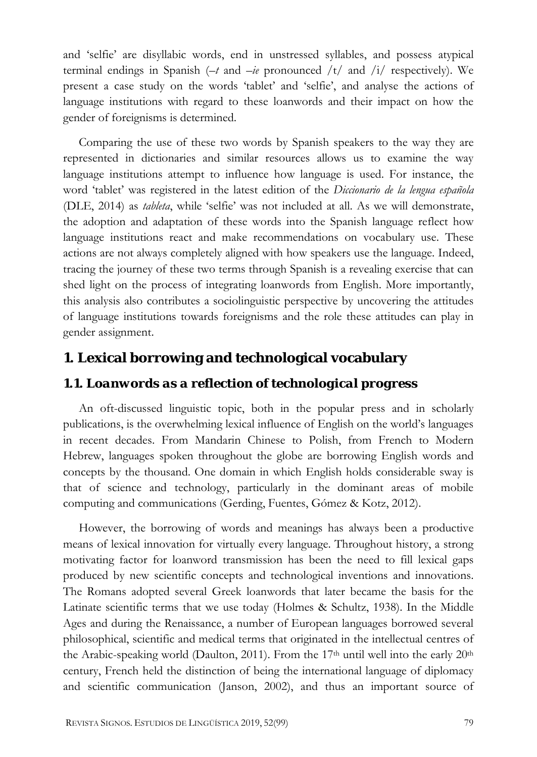and 'selfie' are disyllabic words, end in unstressed syllables, and possess atypical terminal endings in Spanish (*–t* and *–ie* pronounced /t/ and /i/ respectively). We present a case study on the words 'tablet' and 'selfie', and analyse the actions of language institutions with regard to these loanwords and their impact on how the gender of foreignisms is determined.

Comparing the use of these two words by Spanish speakers to the way they are represented in dictionaries and similar resources allows us to examine the way language institutions attempt to influence how language is used. For instance, the word 'tablet' was registered in the latest edition of the *Diccionario de la lengua española* (DLE, 2014) as *tableta*, while 'selfie' was not included at all. As we will demonstrate, the adoption and adaptation of these words into the Spanish language reflect how language institutions react and make recommendations on vocabulary use. These actions are not always completely aligned with how speakers use the language. Indeed, tracing the journey of these two terms through Spanish is a revealing exercise that can shed light on the process of integrating loanwords from English. More importantly, this analysis also contributes a sociolinguistic perspective by uncovering the attitudes of language institutions towards foreignisms and the role these attitudes can play in gender assignment.

## **1. Lexical borrowing and technological vocabulary**

#### *1.1. Loanwords as a reflection of technological progress*

An oft-discussed linguistic topic, both in the popular press and in scholarly publications, is the overwhelming lexical influence of English on the world's languages in recent decades. From Mandarin Chinese to Polish, from French to Modern Hebrew, languages spoken throughout the globe are borrowing English words and concepts by the thousand. One domain in which English holds considerable sway is that of science and technology, particularly in the dominant areas of mobile computing and communications (Gerding, Fuentes, Gómez & Kotz, 2012).

However, the borrowing of words and meanings has always been a productive means of lexical innovation for virtually every language. Throughout history, a strong motivating factor for loanword transmission has been the need to fill lexical gaps produced by new scientific concepts and technological inventions and innovations. The Romans adopted several Greek loanwords that later became the basis for the Latinate scientific terms that we use today (Holmes & Schultz, 1938). In the Middle Ages and during the Renaissance, a number of European languages borrowed several philosophical, scientific and medical terms that originated in the intellectual centres of the Arabic-speaking world (Daulton, 2011). From the  $17<sup>th</sup>$  until well into the early  $20<sup>th</sup>$ century, French held the distinction of being the international language of diplomacy and scientific communication (Janson, 2002), and thus an important source of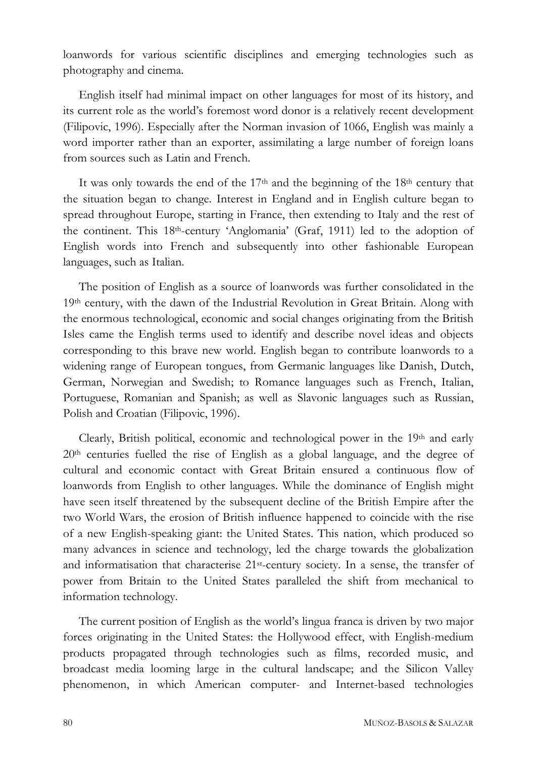loanwords for various scientific disciplines and emerging technologies such as photography and cinema.

English itself had minimal impact on other languages for most of its history, and its current role as the world's foremost word donor is a relatively recent development (Filipovic, 1996). Especially after the Norman invasion of 1066, English was mainly a word importer rather than an exporter, assimilating a large number of foreign loans from sources such as Latin and French.

It was only towards the end of the  $17<sup>th</sup>$  and the beginning of the  $18<sup>th</sup>$  century that the situation began to change. Interest in England and in English culture began to spread throughout Europe, starting in France, then extending to Italy and the rest of the continent. This 18th-century 'Anglomania' (Graf, 1911) led to the adoption of English words into French and subsequently into other fashionable European languages, such as Italian.

The position of English as a source of loanwords was further consolidated in the 19th century, with the dawn of the Industrial Revolution in Great Britain. Along with the enormous technological, economic and social changes originating from the British Isles came the English terms used to identify and describe novel ideas and objects corresponding to this brave new world. English began to contribute loanwords to a widening range of European tongues, from Germanic languages like Danish, Dutch, German, Norwegian and Swedish; to Romance languages such as French, Italian, Portuguese, Romanian and Spanish; as well as Slavonic languages such as Russian, Polish and Croatian (Filipovic, 1996).

Clearly, British political, economic and technological power in the  $19<sup>th</sup>$  and early  $20<sup>th</sup>$  centuries fuelled the rise of English as a global language, and the degree of cultural and economic contact with Great Britain ensured a continuous flow of loanwords from English to other languages. While the dominance of English might have seen itself threatened by the subsequent decline of the British Empire after the two World Wars, the erosion of British influence happened to coincide with the rise of a new English-speaking giant: the United States. This nation, which produced so many advances in science and technology, led the charge towards the globalization and informatisation that characterise 21st-century society. In a sense, the transfer of power from Britain to the United States paralleled the shift from mechanical to information technology.

The current position of English as the world's lingua franca is driven by two major forces originating in the United States: the Hollywood effect, with English-medium products propagated through technologies such as films, recorded music, and broadcast media looming large in the cultural landscape; and the Silicon Valley phenomenon, in which American computer- and Internet-based technologies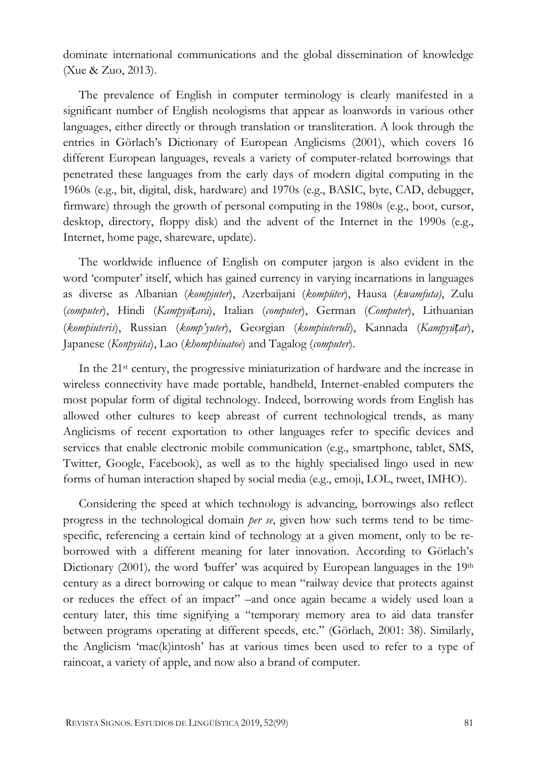dominate international communications and the global dissemination of knowledge (Xue & Zuo, 2013).

The prevalence of English in computer terminology is clearly manifested in a significant number of English neologisms that appear as loanwords in various other languages, either directly or through translation or transliteration. A look through the entries in Görlach's Dictionary of European Anglicisms (2001), which covers 16 different European languages, reveals a variety of computer-related borrowings that penetrated these languages from the early days of modern digital computing in the 1960s (e.g., bit, digital, disk, hardware) and 1970s (e.g., BASIC, byte, CAD, debugger, firmware) through the growth of personal computing in the 1980s (e.g., boot, cursor, desktop, directory, floppy disk) and the advent of the Internet in the 1990s (e.g., Internet, home page, shareware, update).

The worldwide influence of English on computer jargon is also evident in the word 'computer' itself, which has gained currency in varying incarnations in languages as diverse as Albanian (*kompjuter*), Azerbaijani (*kompüter*), Hausa (*kwamfuta)*, Zulu (*computer*), Hindi (*Kampyūṭara*), Italian (*computer*), German (*Computer*), Lithuanian (*kompiuteris*), Russian (*komp'yuter*), Georgian (*kompiuteruli*), Kannada (*Kampyūṭar*), Japanese (*Konpyūta*), Lao (*khomphiuatoe*) and Tagalog (*computer*).

In the 21st century, the progressive miniaturization of hardware and the increase in wireless connectivity have made portable, handheld, Internet-enabled computers the most popular form of digital technology. Indeed, borrowing words from English has allowed other cultures to keep abreast of current technological trends, as many Anglicisms of recent exportation to other languages refer to specific devices and services that enable electronic mobile communication (e.g., smartphone, tablet, SMS, Twitter, Google, Facebook), as well as to the highly specialised lingo used in new forms of human interaction shaped by social media (e.g., emoji, LOL, tweet, IMHO).

Considering the speed at which technology is advancing, borrowings also reflect progress in the technological domain *per se*, given how such terms tend to be timespecific, referencing a certain kind of technology at a given moment, only to be reborrowed with a different meaning for later innovation. According to Görlach's Dictionary (2001), the word 'buffer' was acquired by European languages in the 19<sup>th</sup> century as a direct borrowing or calque to mean "railway device that protects against or reduces the effect of an impact" –and once again became a widely used loan a century later, this time signifying a "temporary memory area to aid data transfer between programs operating at different speeds, etc." (Görlach, 2001: 38). Similarly, the Anglicism 'mac(k)intosh' has at various times been used to refer to a type of raincoat, a variety of apple, and now also a brand of computer.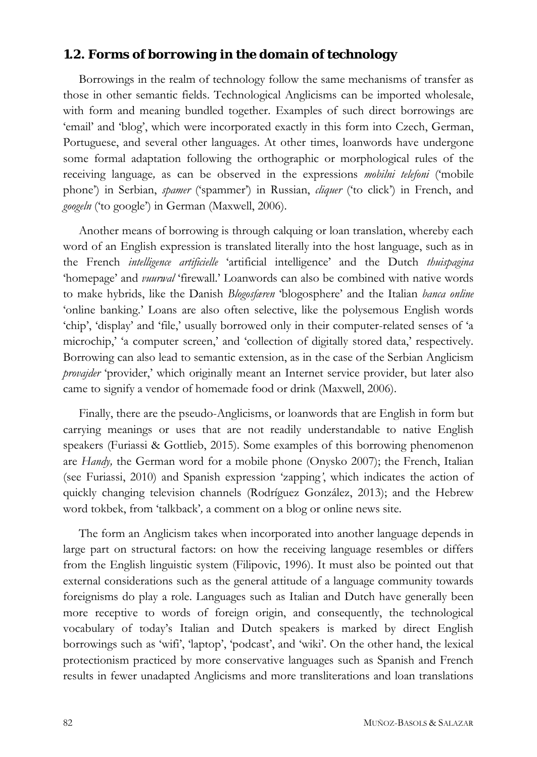#### *1.2. Forms of borrowing in the domain of technology*

Borrowings in the realm of technology follow the same mechanisms of transfer as those in other semantic fields. Technological Anglicisms can be imported wholesale, with form and meaning bundled together. Examples of such direct borrowings are 'email' and 'blog', which were incorporated exactly in this form into Czech, German, Portuguese, and several other languages. At other times, loanwords have undergone some formal adaptation following the orthographic or morphological rules of the receiving language*,* as can be observed in the expressions *mobilni telefoni* ('mobile phone') in Serbian, *spamer* ('spammer') in Russian, *cliquer* ('to click') in French, and *googeln* ('to google') in German (Maxwell, 2006).

Another means of borrowing is through calquing or loan translation, whereby each word of an English expression is translated literally into the host language, such as in the French *intelligence artificielle* 'artificial intelligence' and the Dutch *thuispagina* 'homepage' and *vuurwal* 'firewall.' Loanwords can also be combined with native words to make hybrids, like the Danish *Blogosfæren* 'blogosphere' and the Italian *banca online*  'online banking.' Loans are also often selective, like the polysemous English words 'chip', 'display' and 'file,' usually borrowed only in their computer-related senses of 'a microchip,' 'a computer screen,' and 'collection of digitally stored data,' respectively. Borrowing can also lead to semantic extension, as in the case of the Serbian Anglicism *provajder* 'provider,' which originally meant an Internet service provider, but later also came to signify a vendor of homemade food or drink (Maxwell, 2006).

Finally, there are the pseudo-Anglicisms, or loanwords that are English in form but carrying meanings or uses that are not readily understandable to native English speakers (Furiassi & Gottlieb, 2015). Some examples of this borrowing phenomenon are *Handy,* the German word for a mobile phone (Onysko 2007); the French, Italian (see Furiassi, 2010) and Spanish expression 'zapping*'*, which indicates the action of quickly changing television channels (Rodríguez González, 2013); and the Hebrew word tokbek, from 'talkback'*,* a comment on a blog or online news site.

The form an Anglicism takes when incorporated into another language depends in large part on structural factors: on how the receiving language resembles or differs from the English linguistic system (Filipovic, 1996). It must also be pointed out that external considerations such as the general attitude of a language community towards foreignisms do play a role. Languages such as Italian and Dutch have generally been more receptive to words of foreign origin, and consequently, the technological vocabulary of today's Italian and Dutch speakers is marked by direct English borrowings such as 'wifi', 'laptop', 'podcast', and 'wiki'. On the other hand, the lexical protectionism practiced by more conservative languages such as Spanish and French results in fewer unadapted Anglicisms and more transliterations and loan translations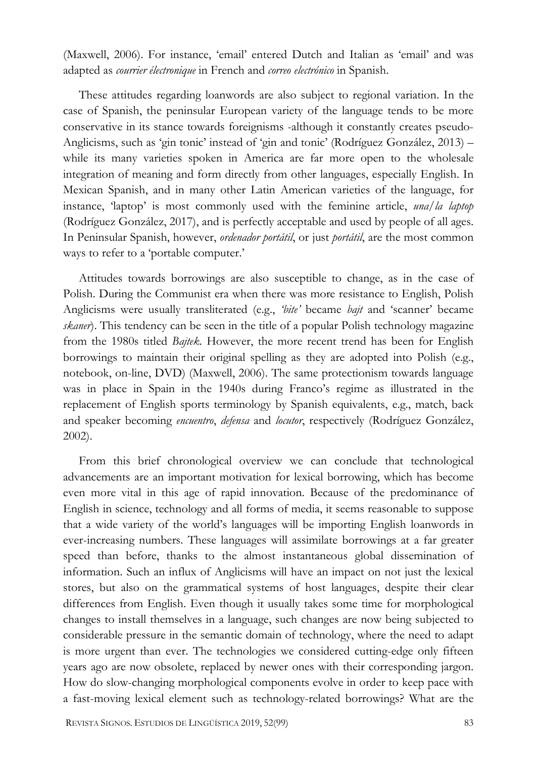(Maxwell, 2006). For instance, 'email' entered Dutch and Italian as 'email' and was adapted as *courrier électronique* in French and *correo electrónico* in Spanish.

These attitudes regarding loanwords are also subject to regional variation. In the case of Spanish, the peninsular European variety of the language tends to be more conservative in its stance towards foreignisms -although it constantly creates pseudo-Anglicisms, such as 'gin tonic' instead of 'gin and tonic' (Rodríguez González, 2013) – while its many varieties spoken in America are far more open to the wholesale integration of meaning and form directly from other languages, especially English. In Mexican Spanish, and in many other Latin American varieties of the language, for instance, 'laptop' is most commonly used with the feminine article, *una/la laptop* (Rodríguez González, 2017), and is perfectly acceptable and used by people of all ages. In Peninsular Spanish, however, *ordenador portátil*, or just *portátil*, are the most common ways to refer to a 'portable computer.'

Attitudes towards borrowings are also susceptible to change, as in the case of Polish. During the Communist era when there was more resistance to English, Polish Anglicisms were usually transliterated (e.g., *'bite'* became *bajt* and 'scanner' became *skaner*). This tendency can be seen in the title of a popular Polish technology magazine from the 1980s titled *Bajtek*. However, the more recent trend has been for English borrowings to maintain their original spelling as they are adopted into Polish (e.g., notebook, on-line, DVD) (Maxwell, 2006). The same protectionism towards language was in place in Spain in the 1940s during Franco's regime as illustrated in the replacement of English sports terminology by Spanish equivalents, e.g., match, back and speaker becoming *encuentro*, *defensa* and *locutor*, respectively (Rodríguez González, 2002).

From this brief chronological overview we can conclude that technological advancements are an important motivation for lexical borrowing, which has become even more vital in this age of rapid innovation. Because of the predominance of English in science, technology and all forms of media, it seems reasonable to suppose that a wide variety of the world's languages will be importing English loanwords in ever-increasing numbers. These languages will assimilate borrowings at a far greater speed than before, thanks to the almost instantaneous global dissemination of information. Such an influx of Anglicisms will have an impact on not just the lexical stores, but also on the grammatical systems of host languages, despite their clear differences from English. Even though it usually takes some time for morphological changes to install themselves in a language, such changes are now being subjected to considerable pressure in the semantic domain of technology, where the need to adapt is more urgent than ever. The technologies we considered cutting-edge only fifteen years ago are now obsolete, replaced by newer ones with their corresponding jargon. How do slow-changing morphological components evolve in order to keep pace with a fast-moving lexical element such as technology-related borrowings? What are the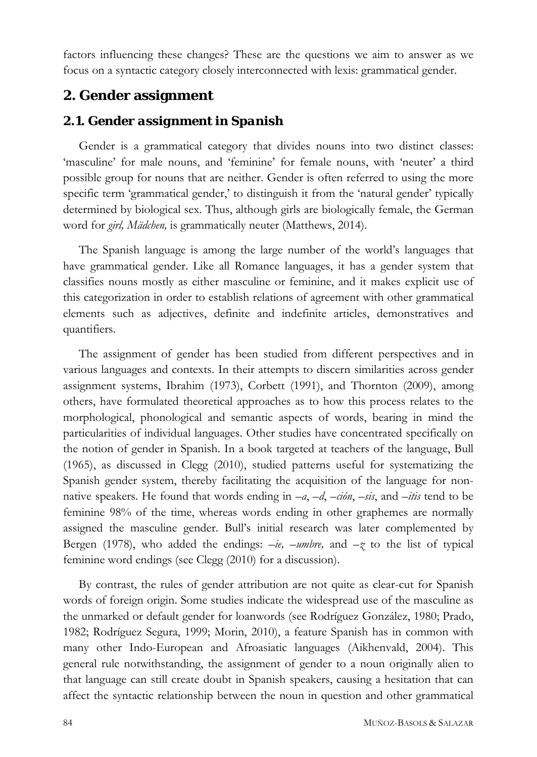factors influencing these changes? These are the questions we aim to answer as we focus on a syntactic category closely interconnected with lexis: grammatical gender.

## **2. Gender assignment**

#### *2.1. Gender assignment in Spanish*

Gender is a grammatical category that divides nouns into two distinct classes: 'masculine' for male nouns, and 'feminine' for female nouns, with 'neuter' a third possible group for nouns that are neither. Gender is often referred to using the more specific term 'grammatical gender,' to distinguish it from the 'natural gender' typically determined by biological sex. Thus, although girls are biologically female, the German word for *girl, Mädchen,* is grammatically neuter (Matthews, 2014).

The Spanish language is among the large number of the world's languages that have grammatical gender. Like all Romance languages, it has a gender system that classifies nouns mostly as either masculine or feminine, and it makes explicit use of this categorization in order to establish relations of agreement with other grammatical elements such as adjectives, definite and indefinite articles, demonstratives and quantifiers.

The assignment of gender has been studied from different perspectives and in various languages and contexts. In their attempts to discern similarities across gender assignment systems, Ibrahim (1973), Corbett (1991), and Thornton (2009), among others, have formulated theoretical approaches as to how this process relates to the morphological, phonological and semantic aspects of words, bearing in mind the particularities of individual languages. Other studies have concentrated specifically on the notion of gender in Spanish. In a book targeted at teachers of the language, Bull (1965), as discussed in Clegg (2010), studied patterns useful for systematizing the Spanish gender system, thereby facilitating the acquisition of the language for nonnative speakers. He found that words ending in *–a*, *–d*, *–ción*, *–sis*, and *–itis* tend to be feminine 98% of the time, whereas words ending in other graphemes are normally assigned the masculine gender. Bull's initial research was later complemented by Bergen (1978), who added the endings: *–ie, –umbre,* and *–z* to the list of typical feminine word endings (see Clegg (2010) for a discussion).

By contrast, the rules of gender attribution are not quite as clear-cut for Spanish words of foreign origin. Some studies indicate the widespread use of the masculine as the unmarked or default gender for loanwords (see Rodríguez González, 1980; Prado, 1982; Rodríguez Segura, 1999; Morin, 2010), a feature Spanish has in common with many other Indo-European and Afroasiatic languages (Aikhenvald, 2004). This general rule notwithstanding, the assignment of gender to a noun originally alien to that language can still create doubt in Spanish speakers, causing a hesitation that can affect the syntactic relationship between the noun in question and other grammatical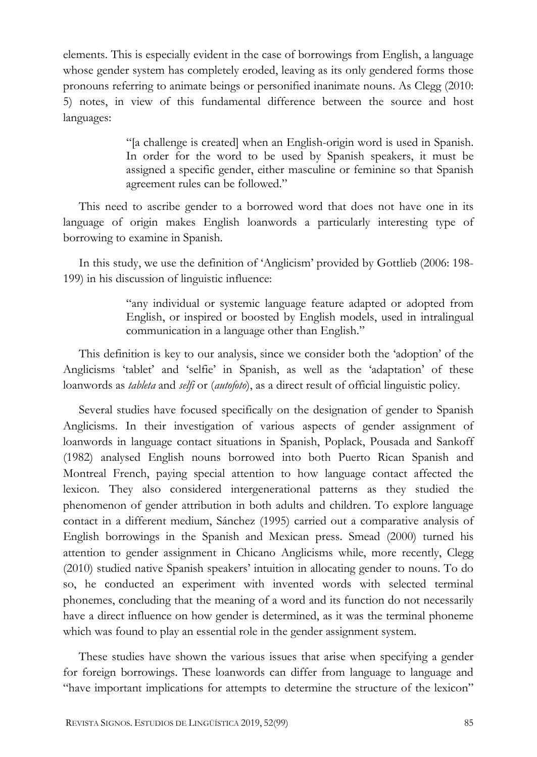elements. This is especially evident in the case of borrowings from English, a language whose gender system has completely eroded, leaving as its only gendered forms those pronouns referring to animate beings or personified inanimate nouns. As Clegg (2010: 5) notes, in view of this fundamental difference between the source and host languages:

> "[a challenge is created] when an English-origin word is used in Spanish. In order for the word to be used by Spanish speakers, it must be assigned a specific gender, either masculine or feminine so that Spanish agreement rules can be followed."

This need to ascribe gender to a borrowed word that does not have one in its language of origin makes English loanwords a particularly interesting type of borrowing to examine in Spanish.

In this study, we use the definition of 'Anglicism' provided by Gottlieb (2006: 198- 199) in his discussion of linguistic influence:

> "any individual or systemic language feature adapted or adopted from English, or inspired or boosted by English models, used in intralingual communication in a language other than English."

This definition is key to our analysis, since we consider both the 'adoption' of the Anglicisms 'tablet' and 'selfie' in Spanish, as well as the 'adaptation' of these loanwords as *tableta* and *selfi* or (*autofoto*), as a direct result of official linguistic policy.

Several studies have focused specifically on the designation of gender to Spanish Anglicisms. In their investigation of various aspects of gender assignment of loanwords in language contact situations in Spanish, Poplack, Pousada and Sankoff (1982) analysed English nouns borrowed into both Puerto Rican Spanish and Montreal French, paying special attention to how language contact affected the lexicon. They also considered intergenerational patterns as they studied the phenomenon of gender attribution in both adults and children. To explore language contact in a different medium, Sánchez (1995) carried out a comparative analysis of English borrowings in the Spanish and Mexican press. Smead (2000) turned his attention to gender assignment in Chicano Anglicisms while, more recently, Clegg (2010) studied native Spanish speakers' intuition in allocating gender to nouns. To do so, he conducted an experiment with invented words with selected terminal phonemes, concluding that the meaning of a word and its function do not necessarily have a direct influence on how gender is determined, as it was the terminal phoneme which was found to play an essential role in the gender assignment system.

These studies have shown the various issues that arise when specifying a gender for foreign borrowings. These loanwords can differ from language to language and "have important implications for attempts to determine the structure of the lexicon"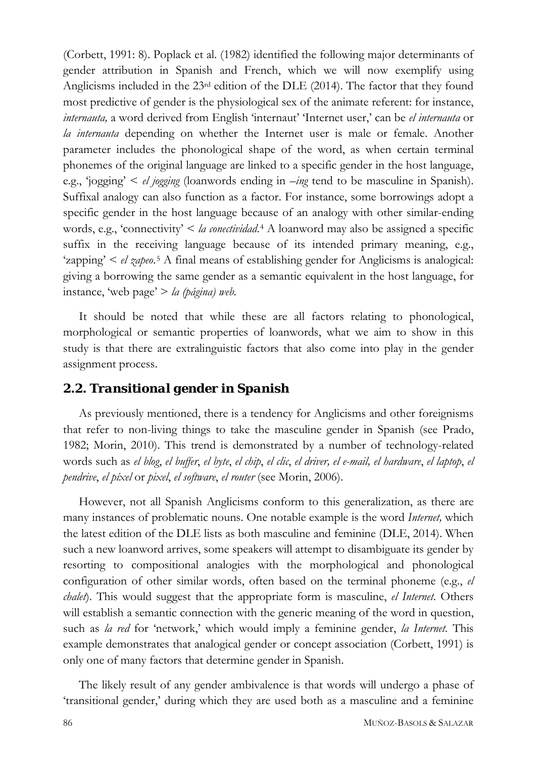(Corbett, 1991: 8). Poplack et al. (1982) identified the following major determinants of gender attribution in Spanish and French, which we will now exemplify using Anglicisms included in the 23rd edition of the DLE (2014). The factor that they found most predictive of gender is the physiological sex of the animate referent: for instance, *internauta,* a word derived from English 'internaut' 'Internet user,' can be *el internauta* or *la internauta* depending on whether the Internet user is male or female. Another parameter includes the phonological shape of the word, as when certain terminal phonemes of the original language are linked to a specific gender in the host language, e.g., 'jogging' < *el jogging* (loanwords ending in *–ing* tend to be masculine in Spanish). Suffixal analogy can also function as a factor. For instance, some borrowings adopt a specific gender in the host language because of an analogy with other similar-ending words, e.g., 'connectivity' < *la conectividad*.[4](#page-31-3) A loanword may also be assigned a specific suffix in the receiving language because of its intended primary meaning, e.g., 'zapping' < *el zapeo*.[5](#page-31-4) A final means of establishing gender for Anglicisms is analogical: giving a borrowing the same gender as a semantic equivalent in the host language, for instance, 'web page' > *la (página) web.*

It should be noted that while these are all factors relating to phonological, morphological or semantic properties of loanwords, what we aim to show in this study is that there are extralinguistic factors that also come into play in the gender assignment process.

## *2.2. Transitional gender in Spanish*

As previously mentioned, there is a tendency for Anglicisms and other foreignisms that refer to non-living things to take the masculine gender in Spanish (see Prado, 1982; Morin, 2010). This trend is demonstrated by a number of technology-related words such as *el blog*, *el buffer*, *el byte*, *el chip*, *el clic*, *el driver, el e-mail, el hardware*, *el laptop*, *el pendrive*, *el píxel* or *pixel*, *el software*, *el router* (see Morin, 2006).

However, not all Spanish Anglicisms conform to this generalization, as there are many instances of problematic nouns. One notable example is the word *Internet,* which the latest edition of the DLE lists as both masculine and feminine (DLE, 2014). When such a new loanword arrives, some speakers will attempt to disambiguate its gender by resorting to compositional analogies with the morphological and phonological configuration of other similar words, often based on the terminal phoneme (e.g., *el chalet*). This would suggest that the appropriate form is masculine, *el Internet*. Others will establish a semantic connection with the generic meaning of the word in question, such as *la red* for 'network,' which would imply a feminine gender, *la Internet*. This example demonstrates that analogical gender or concept association (Corbett, 1991) is only one of many factors that determine gender in Spanish.

The likely result of any gender ambivalence is that words will undergo a phase of 'transitional gender,' during which they are used both as a masculine and a feminine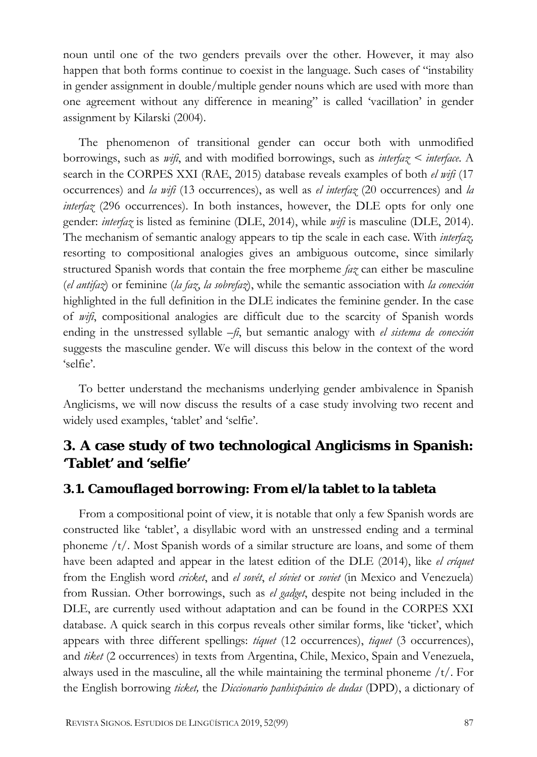noun until one of the two genders prevails over the other. However, it may also happen that both forms continue to coexist in the language. Such cases of "instability in gender assignment in double/multiple gender nouns which are used with more than one agreement without any difference in meaning" is called 'vacillation' in gender assignment by Kilarski (2004).

The phenomenon of transitional gender can occur both with unmodified borrowings, such as *wifi*, and with modified borrowings, such as *interfaz < interface*. A search in the CORPES XXI (RAE, 2015) database reveals examples of both *el wifi* (17 occurrences) and *la wifi* (13 occurrences), as well as *el interfaz* (20 occurrences) and *la interfaz* (296 occurrences). In both instances, however, the DLE opts for only one gender: *interfaz* is listed as feminine (DLE, 2014), while *wifi* is masculine (DLE, 2014). The mechanism of semantic analogy appears to tip the scale in each case. With *interfaz,* resorting to compositional analogies gives an ambiguous outcome, since similarly structured Spanish words that contain the free morpheme *faz* can either be masculine (*el antifaz*) or feminine (*la faz*, *la sobrefaz*), while the semantic association with *la conexión*  highlighted in the full definition in the DLE indicates the feminine gender. In the case of *wifi*, compositional analogies are difficult due to the scarcity of Spanish words ending in the unstressed syllable *–fi*, but semantic analogy with *el sistema de conexión* suggests the masculine gender. We will discuss this below in the context of the word 'selfie'.

To better understand the mechanisms underlying gender ambivalence in Spanish Anglicisms, we will now discuss the results of a case study involving two recent and widely used examples, 'tablet' and 'selfie'.

# **3. A case study of two technological Anglicisms in Spanish: 'Tablet' and 'selfie'**

#### *3.1. Camouflaged borrowing: From* **el/la tablet** *to* **la tableta**

From a compositional point of view, it is notable that only a few Spanish words are constructed like 'tablet', a disyllabic word with an unstressed ending and a terminal phoneme /t/. Most Spanish words of a similar structure are loans, and some of them have been adapted and appear in the latest edition of the DLE (2014), like *el críquet* from the English word *cricket*, and *el sovét*, *el sóviet* or *soviet* (in Mexico and Venezuela) from Russian. Other borrowings, such as *el gadget*, despite not being included in the DLE, are currently used without adaptation and can be found in the CORPES XXI database. A quick search in this corpus reveals other similar forms, like 'ticket', which appears with three different spellings: *tíquet* (12 occurrences), *tiquet* (3 occurrences), and *tiket* (2 occurrences) in texts from Argentina, Chile, Mexico, Spain and Venezuela, always used in the masculine, all the while maintaining the terminal phoneme  $/t$ . For the English borrowing *ticket,* the *Diccionario panhispánico de dudas* (DPD), a dictionary of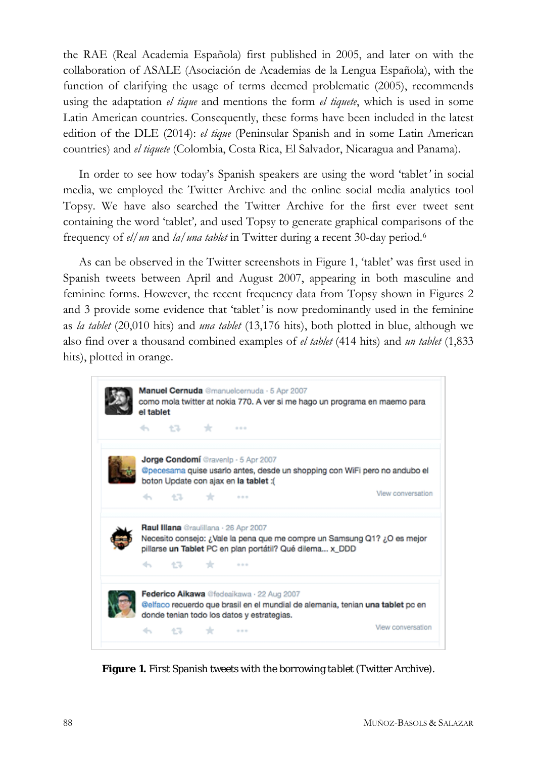the RAE (Real Academia Española) first published in 2005, and later on with the collaboration of ASALE (Asociación de Academias de la Lengua Española), with the function of clarifying the usage of terms deemed problematic (2005), recommends using the adaptation *el tique* and mentions the form *el tiquete*, which is used in some Latin American countries. Consequently, these forms have been included in the latest edition of the DLE (2014): *el tique* (Peninsular Spanish and in some Latin American countries) and *el tiquete* (Colombia, Costa Rica, El Salvador, Nicaragua and Panama).

In order to see how today's Spanish speakers are using the word 'tablet*'* in social media, we employed the Twitter Archive and the online social media analytics tool Topsy. We have also searched the Twitter Archive for the first ever tweet sent containing the word 'tablet'*,* and used Topsy to generate graphical comparisons of the frequency of *el/un* and *la/una tablet* in Twitter during a recent 30-day period.[6](#page-31-5)

As can be observed in the Twitter screenshots in Figure 1, 'tablet' was first used in Spanish tweets between April and August 2007, appearing in both masculine and feminine forms. However, the recent frequency data from Topsy shown in Figures 2 and 3 provide some evidence that 'tablet*'* is now predominantly used in the feminine as *la tablet* (20,010 hits) and *una tablet* (13,176 hits), both plotted in blue, although we also find over a thousand combined examples of *el tablet* (414 hits) and *un tablet* (1,833 hits), plotted in orange.



**Figure 1.** First Spanish tweets with the borrowing *tablet* (Twitter Archive).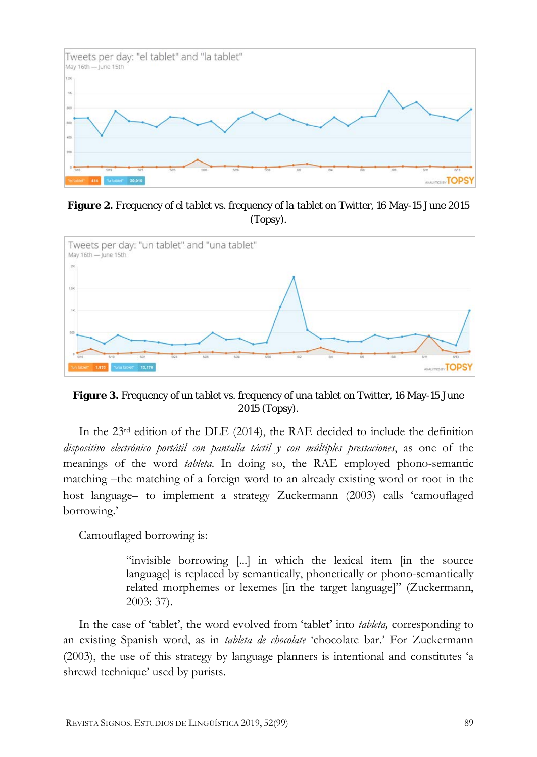

**Figure 2.** Frequency of *el tablet* vs. frequency of *la tablet* on Twitter, 16 May-15 June 2015 (Topsy).



**Figure 3.** Frequency of *un tablet* vs. frequency of *una tablet* on Twitter, 16 May-15 June 2015 (Topsy).

In the  $23<sup>rd</sup>$  edition of the DLE (2014), the RAE decided to include the definition *dispositivo electrónico portátil con pantalla táctil y con múltiples prestaciones*, as one of the meanings of the word *tableta*. In doing so, the RAE employed phono-semantic matching –the matching of a foreign word to an already existing word or root in the host language– to implement a strategy Zuckermann (2003) calls 'camouflaged borrowing.'

Camouflaged borrowing is:

"invisible borrowing [...] in which the lexical item [in the source language] is replaced by semantically, phonetically or phono-semantically related morphemes or lexemes [in the target language]" (Zuckermann, 2003: 37).

In the case of 'tablet', the word evolved from 'tablet' into *tableta,* corresponding to an existing Spanish word, as in *tableta de chocolate* 'chocolate bar.' For Zuckermann (2003), the use of this strategy by language planners is intentional and constitutes 'a shrewd technique' used by purists.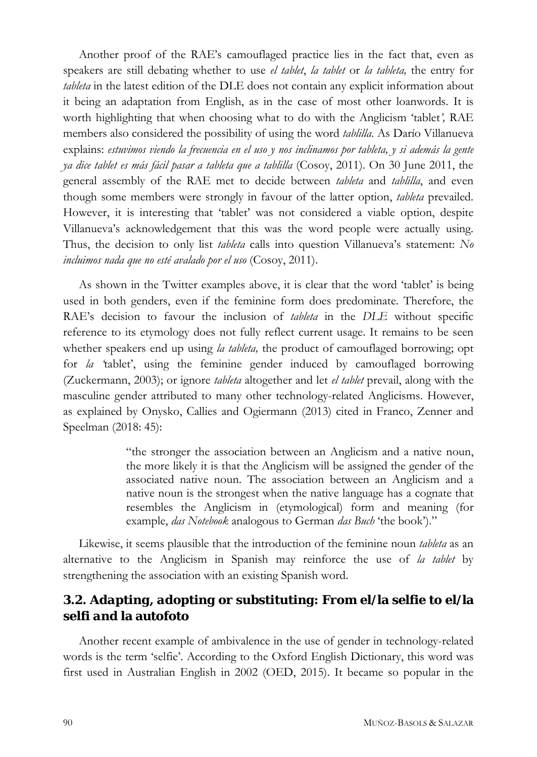Another proof of the RAE's camouflaged practice lies in the fact that, even as speakers are still debating whether to use *el tablet*, *la tablet* or *la tableta,* the entry for *tableta* in the latest edition of the DLE does not contain any explicit information about it being an adaptation from English, as in the case of most other loanwords. It is worth highlighting that when choosing what to do with the Anglicism 'tablet*',* RAE members also considered the possibility of using the word *tablilla*. As Darío Villanueva explains: *estuvimos viendo la frecuencia en el uso y nos inclinamos por tableta, y si además la gente ya dice tablet es más fácil pasar a tableta que a tablilla* (Cosoy, 2011). On 30 June 2011, the general assembly of the RAE met to decide between *tableta* and *tablilla*, and even though some members were strongly in favour of the latter option, *tableta* prevailed. However, it is interesting that 'tablet' was not considered a viable option, despite Villanueva's acknowledgement that this was the word people were actually using. Thus, the decision to only list *tableta* calls into question Villanueva's statement: *No incluimos nada que no esté avalado por el uso* (Cosoy, 2011).

As shown in the Twitter examples above, it is clear that the word 'tablet' is being used in both genders, even if the feminine form does predominate. Therefore, the RAE's decision to favour the inclusion of *tableta* in the *DLE* without specific reference to its etymology does not fully reflect current usage. It remains to be seen whether speakers end up using *la tableta,* the product of camouflaged borrowing; opt for *la '*tablet', using the feminine gender induced by camouflaged borrowing (Zuckermann, 2003); or ignore *tableta* altogether and let *el tablet* prevail, along with the masculine gender attributed to many other technology-related Anglicisms. However, as explained by Onysko, Callies and Ogiermann (2013) cited in Franco, Zenner and Speelman (2018: 45):

> "the stronger the association between an Anglicism and a native noun, the more likely it is that the Anglicism will be assigned the gender of the associated native noun. The association between an Anglicism and a native noun is the strongest when the native language has a cognate that resembles the Anglicism in (etymological) form and meaning (for example, *das Notebook* analogous to German *das Buch* 'the book')."

Likewise, it seems plausible that the introduction of the feminine noun *tableta* as an alternative to the Anglicism in Spanish may reinforce the use of *la tablet* by strengthening the association with an existing Spanish word.

## *3.2. Adapting, adopting or substituting: From* **el/la selfie** *to* **el/la selfi** *and* **la autofoto**

Another recent example of ambivalence in the use of gender in technology-related words is the term 'selfie'. According to the Oxford English Dictionary, this word was first used in Australian English in 2002 (OED, 2015). It became so popular in the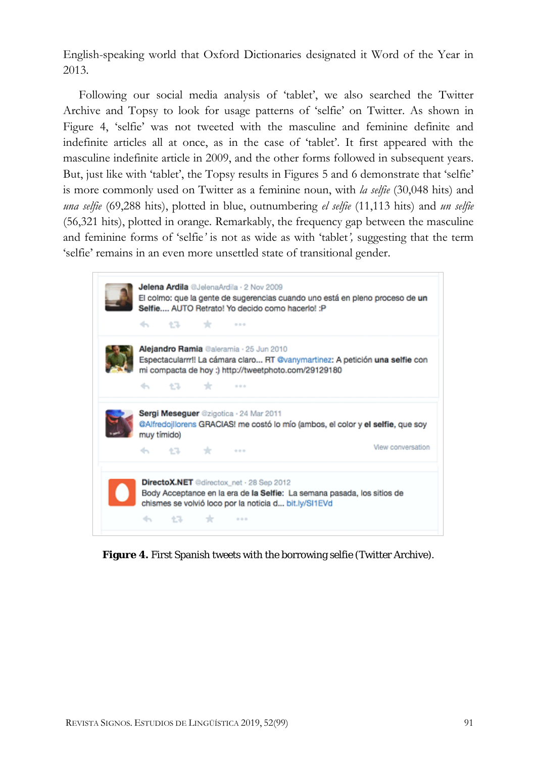English-speaking world that Oxford Dictionaries designated it Word of the Year in 2013.

Following our social media analysis of 'tablet', we also searched the Twitter Archive and Topsy to look for usage patterns of 'selfie' on Twitter. As shown in Figure 4, 'selfie' was not tweeted with the masculine and feminine definite and indefinite articles all at once, as in the case of 'tablet'. It first appeared with the masculine indefinite article in 2009, and the other forms followed in subsequent years. But, just like with 'tablet', the Topsy results in Figures 5 and 6 demonstrate that 'selfie' is more commonly used on Twitter as a feminine noun, with *la selfie* (30,048 hits) and *una selfie* (69,288 hits), plotted in blue, outnumbering *el selfie* (11,113 hits) and *un selfie*  (56,321 hits), plotted in orange*.* Remarkably, the frequency gap between the masculine and feminine forms of 'selfie*'* is not as wide as with 'tablet*',* suggesting that the term 'selfie' remains in an even more unsettled state of transitional gender.

| Alejandro Ramia @aleramia · 25 Jun 2010<br>Espectacularm!! La cámara claro RT @vanymartinez: A petición una selfie con                   |     |      |                                                              |                   |  |
|------------------------------------------------------------------------------------------------------------------------------------------|-----|------|--------------------------------------------------------------|-------------------|--|
|                                                                                                                                          | 化学生 | rde. | mi compacta de hoy :) http://tweetphoto.com/29129180<br>1.11 |                   |  |
| Sergi Meseguer @zigotica · 24 Mar 2011<br>@Alfredojllorens GRACIAS! me costó lo mío (ambos, el color y el selfie, que soy<br>muy tímido) |     |      |                                                              |                   |  |
|                                                                                                                                          |     |      |                                                              | View conversation |  |

**Figure 4.** First Spanish tweets with the borrowing *selfie* (Twitter Archive).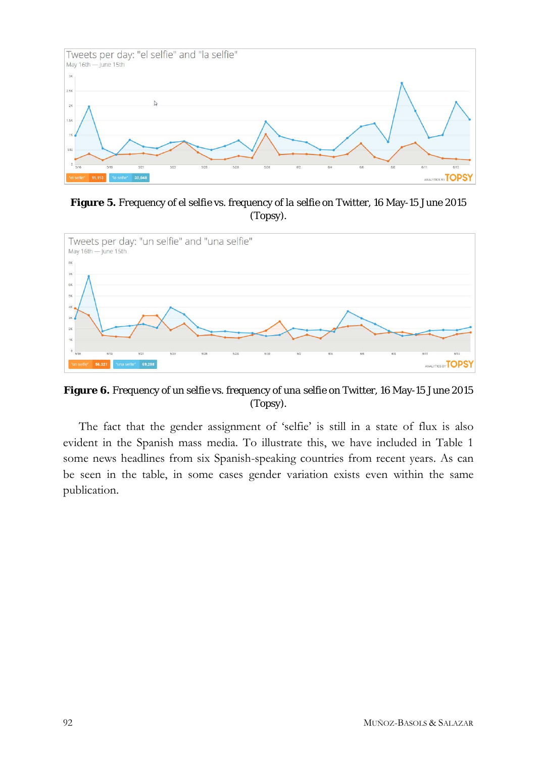

**Figure 5.** Frequency of *el selfie* vs. frequency of *la selfie* on Twitter, 16 May-15 June 2015 (Topsy).



**Figure 6.** Frequency of *un selfie* vs. frequency of *una selfie* on Twitter, 16 May-15 June 2015 (Topsy).

The fact that the gender assignment of 'selfie' is still in a state of flux is also evident in the Spanish mass media. To illustrate this, we have included in Table 1 some news headlines from six Spanish-speaking countries from recent years. As can be seen in the table, in some cases gender variation exists even within the same publication.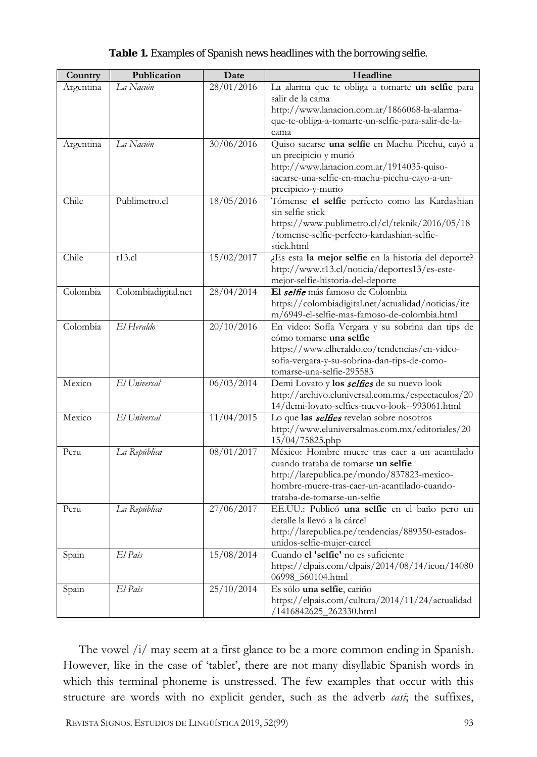| Country   | Publication         | Date       | Headline                                                              |
|-----------|---------------------|------------|-----------------------------------------------------------------------|
| Argentina | La Nación           | 28/01/2016 | La alarma que te obliga a tomarte un selfie para                      |
|           |                     |            | salir de la cama                                                      |
|           |                     |            | http://www.lanacion.com.ar/1866068-la-alarma-                         |
|           |                     |            | que-te-obliga-a-tomarte-un-selfie-para-salir-de-la-                   |
|           |                     |            | cama                                                                  |
| Argentina | La Nación           | 30/06/2016 | Quiso sacarse una selfie en Machu Picchu, cayó a                      |
|           |                     |            | un precipicio y murió                                                 |
|           |                     |            | http://www.lanacion.com.ar/1914035-quiso-                             |
|           |                     |            | sacarse-una-selfie-en-machu-picchu-cayo-a-un-                         |
|           |                     |            | precipicio-y-murio                                                    |
| Chile     | Publimetro.cl       | 18/05/2016 | Tómense el selfie perfecto como las Kardashian                        |
|           |                     |            | sin selfie stick                                                      |
|           |                     |            | https://www.publimetro.cl/cl/teknik/2016/05/18                        |
|           |                     |            | /tomense-selfie-perfecto-kardashian-selfie-                           |
| Chile     |                     | 15/02/2017 | stick.html                                                            |
|           | $t13$ .cl           |            | ¿Es esta la mejor selfie en la historia del deporte?                  |
|           |                     |            | http://www.t13.cl/noticia/deportes13/es-este-                         |
| Colombia  | Colombiadigital.net | 28/04/2014 | mejor-selfie-historia-del-deporte<br>El selfie más famoso de Colombia |
|           |                     |            | https://colombiadigital.net/actualidad/noticias/ite                   |
|           |                     |            | m/6949-el-selfie-mas-famoso-de-colombia.html                          |
| Colombia  | El Heraldo          | 20/10/2016 | En video: Sofía Vergara y su sobrina dan tips de                      |
|           |                     |            | cómo tomarse una selfie                                               |
|           |                     |            | https://www.elheraldo.co/tendencias/en-video-                         |
|           |                     |            | sofia-vergara-y-su-sobrina-dan-tips-de-como-                          |
|           |                     |            | tomarse-una-selfie-295583                                             |
| Mexico    | El Universal        | 06/03/2014 | Demi Lovato y los selfies de su nuevo look                            |
|           |                     |            | http://archivo.eluniversal.com.mx/espectaculos/20                     |
|           |                     |            | 14/demi-lovato-selfies-nuevo-look--993061.html                        |
| Mexico    | El Universal        | 11/04/2015 | Lo que las <i>selfies</i> revelan sobre nosotros                      |
|           |                     |            | http://www.eluniversalmas.com.mx/editoriales/20                       |
|           |                     |            | 15/04/75825.php                                                       |
| Peru      | La República        | 08/01/2017 | México: Hombre muere tras caer a un acantilado                        |
|           |                     |            | cuando trataba de tomarse un selfie                                   |
|           |                     |            | http://larepublica.pe/mundo/837823-mexico-                            |
|           |                     |            | hombre-muere-tras-caer-un-acantilado-cuando-                          |
|           |                     |            | trataba-de-tomarse-un-selfie                                          |
| Peru      | La República        | 27/06/2017 | EE.UU.: Publicó una selfie en el baño pero un                         |
|           |                     |            | detalle la llevó a la cárcel                                          |
|           |                     |            | http://larepublica.pe/tendencias/889350-estados-                      |
|           |                     |            | unidos-selfie-mujer-carcel                                            |
| Spain     | El País             | 15/08/2014 | Cuando el 'selfie' no es suficiente                                   |
|           |                     |            | https://elpais.com/elpais/2014/08/14/icon/14080                       |
|           |                     |            | 06998_560104.html                                                     |
| Spain     | El País             | 25/10/2014 | Es sólo una selfie, cariño                                            |
|           |                     |            | https://elpais.com/cultura/2014/11/24/actualidad                      |
|           |                     |            | /1416842625_262330.html                                               |

#### **Table 1.** Examples of Spanish news headlines with the borrowing *selfie*.

The vowel /i/ may seem at a first glance to be a more common ending in Spanish. However, like in the case of 'tablet', there are not many disyllabic Spanish words in which this terminal phoneme is unstressed. The few examples that occur with this structure are words with no explicit gender, such as the adverb *casi*; the suffixes,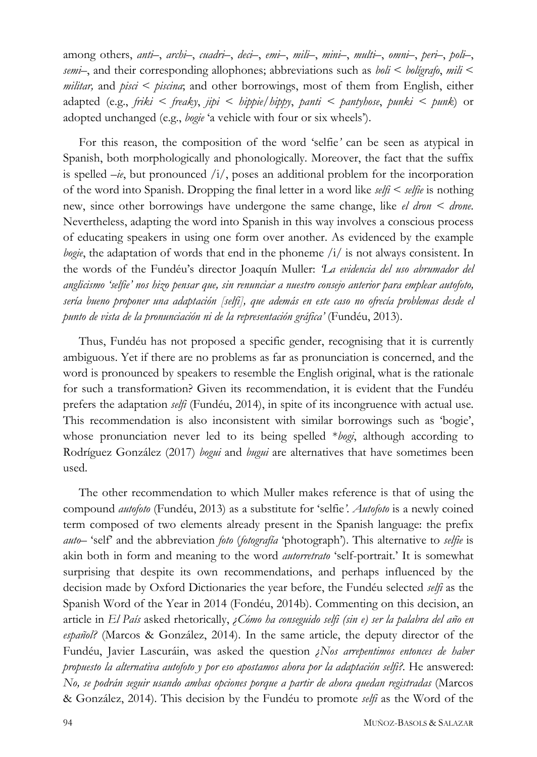among others, *anti–*, *archi–*, *cuadri–*, *deci–*, *emi–*, *mili–*, *mini–*, *multi–*, *omni–*, *peri–*, *poli–*, *semi–*, and their corresponding allophones; abbreviations such as *boli* < *bolígrafo*, *mili* < *militar,* and *pisci* < *piscina*; and other borrowings, most of them from English, either adapted (e.g., *friki < freaky*, *jipi < hippie/hippy*, *panti < pantyhose*, *punki < punk*) or adopted unchanged (e.g., *bogie* 'a vehicle with four or six wheels').

For this reason, the composition of the word 'selfie*'* can be seen as atypical in Spanish, both morphologically and phonologically. Moreover, the fact that the suffix is spelled  $-i\epsilon$ , but pronounced  $/i/$ , poses an additional problem for the incorporation of the word into Spanish. Dropping the final letter in a word like *selfi* < *selfie* is nothing new, since other borrowings have undergone the same change, like *el dron < drone*. Nevertheless, adapting the word into Spanish in this way involves a conscious process of educating speakers in using one form over another. As evidenced by the example *bogie*, the adaptation of words that end in the phoneme /i/ is not always consistent. In the words of the Fundéu's director Joaquín Muller: *'La evidencia del uso abrumador del anglicismo 'selfie' nos hizo pensar que, sin renunciar a nuestro consejo anterior para emplear autofoto, sería bueno proponer una adaptación [selfi], que además en este caso no ofrecía problemas desde el punto de vista de la pronunciación ni de la representación gráfica'* (Fundéu, 2013).

Thus, Fundéu has not proposed a specific gender, recognising that it is currently ambiguous. Yet if there are no problems as far as pronunciation is concerned, and the word is pronounced by speakers to resemble the English original, what is the rationale for such a transformation? Given its recommendation, it is evident that the Fundéu prefers the adaptation *selfi* (Fundéu, 2014), in spite of its incongruence with actual use. This recommendation is also inconsistent with similar borrowings such as 'bogie', whose pronunciation never led to its being spelled \**bogi*, although according to Rodríguez González (2017) *bogui* and *bugui* are alternatives that have sometimes been used.

The other recommendation to which Muller makes reference is that of using the compound *autofoto* (Fundéu, 2013) as a substitute for 'selfie*'*. *Autofoto* is a newly coined term composed of two elements already present in the Spanish language: the prefix *auto–* 'self' and the abbreviation *foto* (*fotografía* 'photograph'). This alternative to *selfie* is akin both in form and meaning to the word *autorretrato* 'self-portrait.' It is somewhat surprising that despite its own recommendations, and perhaps influenced by the decision made by Oxford Dictionaries the year before, the Fundéu selected *selfi* as the Spanish Word of the Year in 2014 (Fondéu, 2014b). Commenting on this decision, an article in *El País* asked rhetorically, *¿Cómo ha conseguido selfi (sin e) ser la palabra del año en español?* (Marcos & González, 2014). In the same article, the deputy director of the Fundéu, Javier Lascuráin, was asked the question *¿Nos arrepentimos entonces de haber propuesto la alternativa autofoto y por eso apostamos ahora por la adaptación selfi?.* He answered: *No, se podrán seguir usando ambas opciones porque a partir de ahora quedan registradas* (Marcos & González, 2014). This decision by the Fundéu to promote *selfi* as the Word of the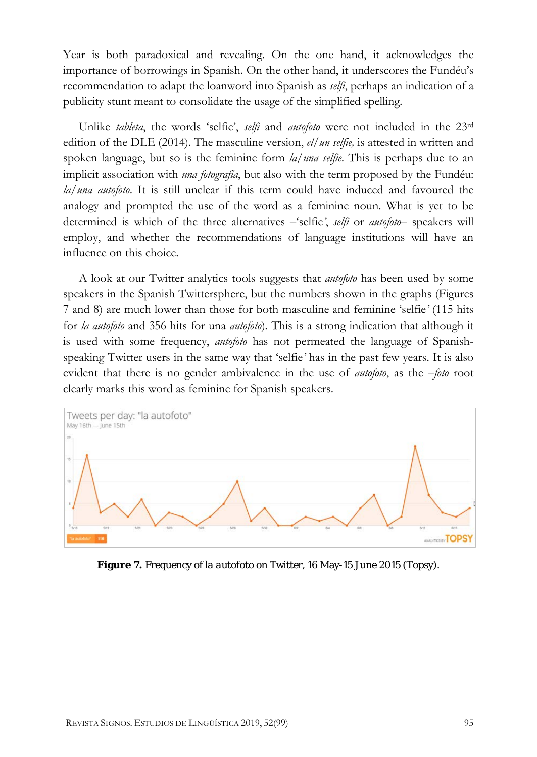Year is both paradoxical and revealing. On the one hand, it acknowledges the importance of borrowings in Spanish. On the other hand, it underscores the Fundéu's recommendation to adapt the loanword into Spanish as *selfi*, perhaps an indication of a publicity stunt meant to consolidate the usage of the simplified spelling*.*

Unlike *tableta*, the words 'selfie', *selfi* and *autofoto* were not included in the 23rd edition of the DLE (2014). The masculine version, *el/un selfie,* is attested in written and spoken language, but so is the feminine form *la/una selfie*. This is perhaps due to an implicit association with *una fotografía*, but also with the term proposed by the Fundéu: *la/una autofoto*. It is still unclear if this term could have induced and favoured the analogy and prompted the use of the word as a feminine noun. What is yet to be determined is which of the three alternatives –'selfie*'*, *selfi* or *autofoto–* speakers will employ, and whether the recommendations of language institutions will have an influence on this choice.

A look at our Twitter analytics tools suggests that *autofoto* has been used by some speakers in the Spanish Twittersphere, but the numbers shown in the graphs (Figures 7 and 8) are much lower than those for both masculine and feminine 'selfie*'* (115 hits for *la autofoto* and 356 hits for una *autofoto*)*.* This is a strong indication that although it is used with some frequency, *autofoto* has not permeated the language of Spanishspeaking Twitter users in the same way that 'selfie*'* has in the past few years. It is also evident that there is no gender ambivalence in the use of *autofoto*, as the *–foto* root clearly marks this word as feminine for Spanish speakers.



**Figure 7.** Frequency of *la autofoto* on Twitter, 16 May-15 June 2015 (Topsy).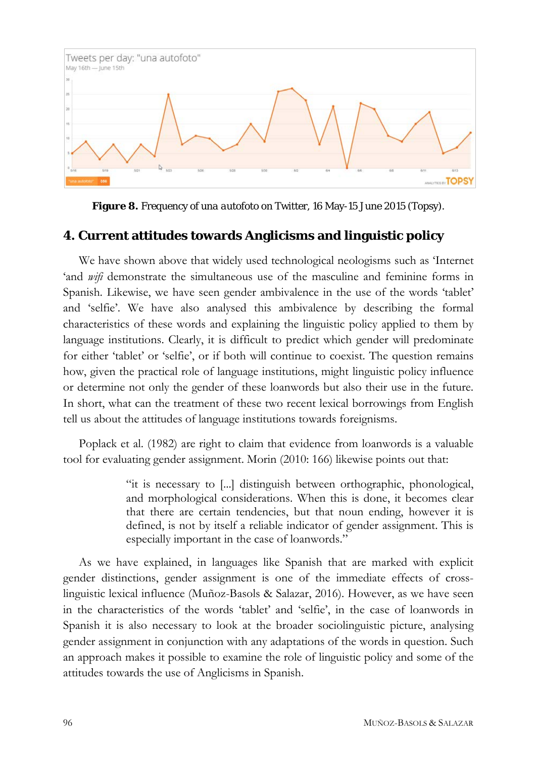

**Figure 8.** Frequency of *una autofoto* on Twitter, 16 May-15 June 2015 (Topsy).

#### **4. Current attitudes towards Anglicisms and linguistic policy**

We have shown above that widely used technological neologisms such as 'Internet 'and *wifi* demonstrate the simultaneous use of the masculine and feminine forms in Spanish*.* Likewise, we have seen gender ambivalence in the use of the words 'tablet' and 'selfie'. We have also analysed this ambivalence by describing the formal characteristics of these words and explaining the linguistic policy applied to them by language institutions. Clearly, it is difficult to predict which gender will predominate for either 'tablet' or 'selfie', or if both will continue to coexist. The question remains how, given the practical role of language institutions, might linguistic policy influence or determine not only the gender of these loanwords but also their use in the future. In short, what can the treatment of these two recent lexical borrowings from English tell us about the attitudes of language institutions towards foreignisms.

Poplack et al. (1982) are right to claim that evidence from loanwords is a valuable tool for evaluating gender assignment. Morin (2010: 166) likewise points out that:

> "it is necessary to [...] distinguish between orthographic, phonological, and morphological considerations. When this is done, it becomes clear that there are certain tendencies, but that noun ending, however it is defined, is not by itself a reliable indicator of gender assignment. This is especially important in the case of loanwords."

As we have explained, in languages like Spanish that are marked with explicit gender distinctions, gender assignment is one of the immediate effects of crosslinguistic lexical influence (Muñoz-Basols & Salazar, 2016). However, as we have seen in the characteristics of the words 'tablet' and 'selfie', in the case of loanwords in Spanish it is also necessary to look at the broader sociolinguistic picture, analysing gender assignment in conjunction with any adaptations of the words in question. Such an approach makes it possible to examine the role of linguistic policy and some of the attitudes towards the use of Anglicisms in Spanish.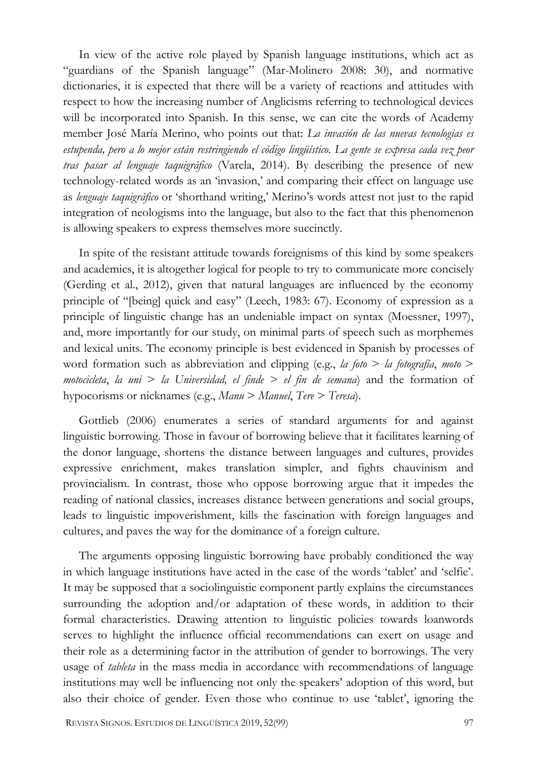In view of the active role played by Spanish language institutions, which act as "guardians of the Spanish language" (Mar-Molinero 2008: 30), and normative dictionaries, it is expected that there will be a variety of reactions and attitudes with respect to how the increasing number of Anglicisms referring to technological devices will be incorporated into Spanish. In this sense, we can cite the words of Academy member José María Merino, who points out that: *La invasión de las nuevas tecnologías es estupenda, pero a lo mejor están restringiendo el código lingüístico. La gente se expresa cada vez peor tras pasar al lenguaje taquigráfico* (Varela, 2014). By describing the presence of new technology-related words as an 'invasion,' and comparing their effect on language use as *lenguaje taquigráfico* or 'shorthand writing,' Merino's words attest not just to the rapid integration of neologisms into the language, but also to the fact that this phenomenon is allowing speakers to express themselves more succinctly.

In spite of the resistant attitude towards foreignisms of this kind by some speakers and academics, it is altogether logical for people to try to communicate more concisely (Gerding et al., 2012), given that natural languages are influenced by the economy principle of "[being] quick and easy" (Leech, 1983: 67). Economy of expression as a principle of linguistic change has an undeniable impact on syntax (Moessner, 1997), and, more importantly for our study, on minimal parts of speech such as morphemes and lexical units. The economy principle is best evidenced in Spanish by processes of word formation such as abbreviation and clipping (e.g., *la foto* > *la fotografía*, *moto* > *motocicleta*, *la uni* > *la Universidad, el finde > el fin de semana*) and the formation of hypocorisms or nicknames (e.g., *Manu* > *Manuel*, *Tere* > *Teresa*).

Gottlieb (2006) enumerates a series of standard arguments for and against linguistic borrowing. Those in favour of borrowing believe that it facilitates learning of the donor language, shortens the distance between languages and cultures, provides expressive enrichment, makes translation simpler, and fights chauvinism and provincialism. In contrast, those who oppose borrowing argue that it impedes the reading of national classics, increases distance between generations and social groups, leads to linguistic impoverishment, kills the fascination with foreign languages and cultures, and paves the way for the dominance of a foreign culture.

The arguments opposing linguistic borrowing have probably conditioned the way in which language institutions have acted in the case of the words 'tablet' and 'selfie'. It may be supposed that a sociolinguistic component partly explains the circumstances surrounding the adoption and/or adaptation of these words, in addition to their formal characteristics. Drawing attention to linguistic policies towards loanwords serves to highlight the influence official recommendations can exert on usage and their role as a determining factor in the attribution of gender to borrowings. The very usage of *tableta* in the mass media in accordance with recommendations of language institutions may well be influencing not only the speakers' adoption of this word, but also their choice of gender. Even those who continue to use 'tablet', ignoring the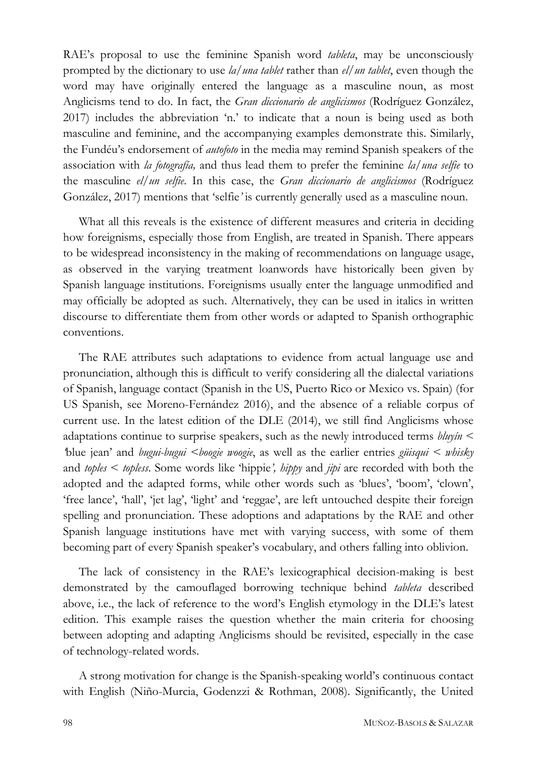RAE's proposal to use the feminine Spanish word *tableta*, may be unconsciously prompted by the dictionary to use *la/una tablet* rather than *el/un tablet*, even though the word may have originally entered the language as a masculine noun, as most Anglicisms tend to do. In fact, the *Gran diccionario de anglicismos* (Rodríguez González, 2017) includes the abbreviation 'n.' to indicate that a noun is being used as both masculine and feminine, and the accompanying examples demonstrate this. Similarly, the Fundéu's endorsement of *autofoto* in the media may remind Spanish speakers of the association with *la fotografía,* and thus lead them to prefer the feminine *la/una selfie* to the masculine *el/un selfie*. In this case, the *Gran diccionario de anglicismos* (Rodríguez González, 2017) mentions that 'selfie*'* is currently generally used as a masculine noun.

What all this reveals is the existence of different measures and criteria in deciding how foreignisms, especially those from English, are treated in Spanish. There appears to be widespread inconsistency in the making of recommendations on language usage, as observed in the varying treatment loanwords have historically been given by Spanish language institutions. Foreignisms usually enter the language unmodified and may officially be adopted as such. Alternatively, they can be used in italics in written discourse to differentiate them from other words or adapted to Spanish orthographic conventions.

The RAE attributes such adaptations to evidence from actual language use and pronunciation, although this is difficult to verify considering all the dialectal variations of Spanish, language contact (Spanish in the US, Puerto Rico or Mexico vs. Spain) (for US Spanish, see Moreno-Fernández 2016), and the absence of a reliable corpus of current use. In the latest edition of the DLE (2014), we still find Anglicisms whose adaptations continue to surprise speakers, such as the newly introduced terms *bluyín < blue jean' and <i>bugui-bugui < boogie woogie*, as well as the earlier entries *güisqui < whisky* and *toples* < *topless*. Some words like 'hippie*', hippy* and *jipi* are recorded with both the adopted and the adapted forms, while other words such as 'blues', 'boom', 'clown', 'free lance', 'hall', 'jet lag', 'light' and 'reggae', are left untouched despite their foreign spelling and pronunciation. These adoptions and adaptations by the RAE and other Spanish language institutions have met with varying success, with some of them becoming part of every Spanish speaker's vocabulary, and others falling into oblivion.

The lack of consistency in the RAE's lexicographical decision-making is best demonstrated by the camouflaged borrowing technique behind *tableta* described above, i.e., the lack of reference to the word's English etymology in the DLE's latest edition. This example raises the question whether the main criteria for choosing between adopting and adapting Anglicisms should be revisited, especially in the case of technology-related words.

A strong motivation for change is the Spanish-speaking world's continuous contact with English (Niño-Murcia, Godenzzi & Rothman, 2008). Significantly, the United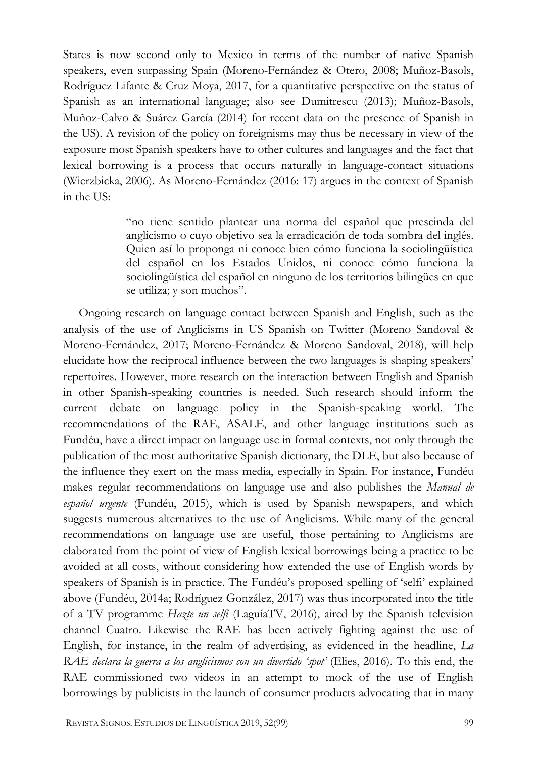States is now second only to Mexico in terms of the number of native Spanish speakers, even surpassing Spain (Moreno-Fernández & Otero, 2008; Muñoz-Basols, Rodríguez Lifante & Cruz Moya, 2017, for a quantitative perspective on the status of Spanish as an international language; also see Dumitrescu (2013); Muñoz-Basols, Muñoz-Calvo & Suárez García (2014) for recent data on the presence of Spanish in the US). A revision of the policy on foreignisms may thus be necessary in view of the exposure most Spanish speakers have to other cultures and languages and the fact that lexical borrowing is a process that occurs naturally in language-contact situations (Wierzbicka, 2006). As Moreno-Fernández (2016: 17) argues in the context of Spanish in the US:

> "no tiene sentido plantear una norma del español que prescinda del anglicismo o cuyo objetivo sea la erradicación de toda sombra del inglés. Quien así lo proponga ni conoce bien cómo funciona la sociolingüística del español en los Estados Unidos, ni conoce cómo funciona la sociolingüística del español en ninguno de los territorios bilingües en que se utiliza; y son muchos".

Ongoing research on language contact between Spanish and English, such as the analysis of the use of Anglicisms in US Spanish on Twitter (Moreno Sandoval & Moreno-Fernández, 2017; Moreno-Fernández & Moreno Sandoval, 2018), will help elucidate how the reciprocal influence between the two languages is shaping speakers' repertoires. However, more research on the interaction between English and Spanish in other Spanish-speaking countries is needed. Such research should inform the current debate on language policy in the Spanish-speaking world. The recommendations of the RAE, ASALE, and other language institutions such as Fundéu, have a direct impact on language use in formal contexts, not only through the publication of the most authoritative Spanish dictionary, the DLE, but also because of the influence they exert on the mass media, especially in Spain. For instance, Fundéu makes regular recommendations on language use and also publishes the *Manual de español urgente* (Fundéu, 2015), which is used by Spanish newspapers, and which suggests numerous alternatives to the use of Anglicisms. While many of the general recommendations on language use are useful, those pertaining to Anglicisms are elaborated from the point of view of English lexical borrowings being a practice to be avoided at all costs, without considering how extended the use of English words by speakers of Spanish is in practice. The Fundéu's proposed spelling of 'selfi' explained above (Fundéu, 2014a; Rodríguez González, 2017) was thus incorporated into the title of a TV programme *Hazte un selfi* (LaguíaTV, 2016), aired by the Spanish television channel Cuatro. Likewise the RAE has been actively fighting against the use of English, for instance, in the realm of advertising, as evidenced in the headline, *La RAE declara la guerra a los anglicismos con un divertido 'spot'* (Elies, 2016). To this end, the RAE commissioned two videos in an attempt to mock of the use of English borrowings by publicists in the launch of consumer products advocating that in many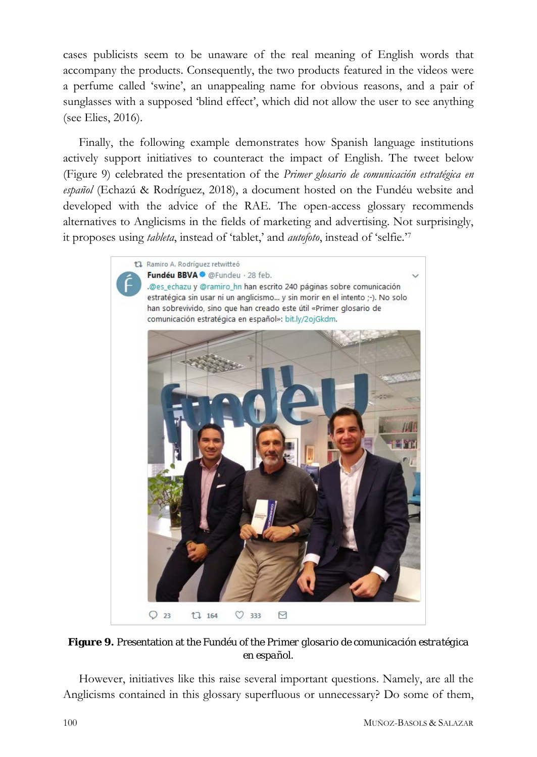cases publicists seem to be unaware of the real meaning of English words that accompany the products. Consequently, the two products featured in the videos were a perfume called 'swine', an unappealing name for obvious reasons, and a pair of sunglasses with a supposed 'blind effect', which did not allow the user to see anything (see Elies, 2016).

Finally, the following example demonstrates how Spanish language institutions actively support initiatives to counteract the impact of English. The tweet below (Figure 9) celebrated the presentation of the *Primer glosario de comunicación estratégica en español* (Echazú & Rodríguez, 2018), a document hosted on the Fundéu website and developed with the advice of the RAE. The open-access glossary recommends alternatives to Anglicisms in the fields of marketing and advertising. Not surprisingly, it proposes using *tableta*, instead of 'tablet,' and *autofoto*, instead of 'selfie.'[7](#page-31-6)



**Figure 9.** Presentation at the Fundéu of the *Primer glosario de comunicación estratégica en español*.

However, initiatives like this raise several important questions. Namely, are all the Anglicisms contained in this glossary superfluous or unnecessary? Do some of them,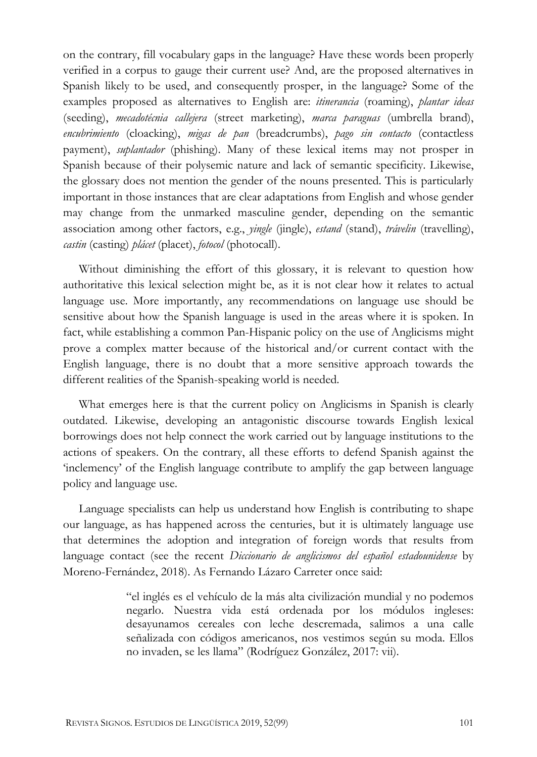on the contrary, fill vocabulary gaps in the language? Have these words been properly verified in a corpus to gauge their current use? And, are the proposed alternatives in Spanish likely to be used, and consequently prosper, in the language? Some of the examples proposed as alternatives to English are: *itinerancia* (roaming), *plantar ideas* (seeding), *mecadotécnia callejera* (street marketing), *marca paraguas* (umbrella brand), *encubrimiento* (cloacking), *migas de pan* (breadcrumbs), *pago sin contacto* (contactless payment), *suplantador* (phishing). Many of these lexical items may not prosper in Spanish because of their polysemic nature and lack of semantic specificity. Likewise, the glossary does not mention the gender of the nouns presented. This is particularly important in those instances that are clear adaptations from English and whose gender may change from the unmarked masculine gender, depending on the semantic association among other factors, e.g., *yingle* (jingle), *estand* (stand), *trávelin* (travelling), *castin* (casting) *plácet* (placet), *fotocol* (photocall).

Without diminishing the effort of this glossary, it is relevant to question how authoritative this lexical selection might be, as it is not clear how it relates to actual language use. More importantly, any recommendations on language use should be sensitive about how the Spanish language is used in the areas where it is spoken. In fact, while establishing a common Pan-Hispanic policy on the use of Anglicisms might prove a complex matter because of the historical and/or current contact with the English language, there is no doubt that a more sensitive approach towards the different realities of the Spanish-speaking world is needed.

What emerges here is that the current policy on Anglicisms in Spanish is clearly outdated. Likewise, developing an antagonistic discourse towards English lexical borrowings does not help connect the work carried out by language institutions to the actions of speakers. On the contrary, all these efforts to defend Spanish against the 'inclemency' of the English language contribute to amplify the gap between language policy and language use.

Language specialists can help us understand how English is contributing to shape our language, as has happened across the centuries, but it is ultimately language use that determines the adoption and integration of foreign words that results from language contact (see the recent *Diccionario de anglicismos del español estadounidense* by Moreno-Fernández, 2018). As Fernando Lázaro Carreter once said:

> "el inglés es el vehículo de la más alta civilización mundial y no podemos negarlo. Nuestra vida está ordenada por los módulos ingleses: desayunamos cereales con leche descremada, salimos a una calle señalizada con códigos americanos, nos vestimos según su moda. Ellos no invaden, se les llama" (Rodríguez González, 2017: vii).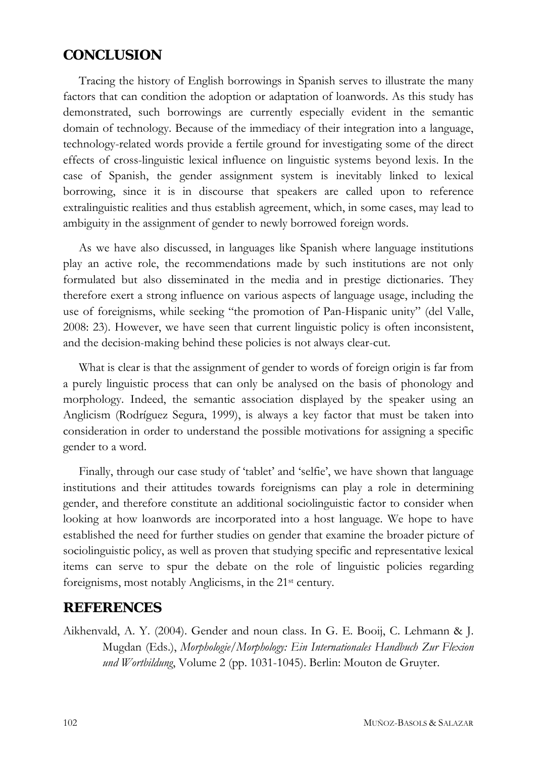## **CONCLUSION**

Tracing the history of English borrowings in Spanish serves to illustrate the many factors that can condition the adoption or adaptation of loanwords. As this study has demonstrated, such borrowings are currently especially evident in the semantic domain of technology. Because of the immediacy of their integration into a language, technology-related words provide a fertile ground for investigating some of the direct effects of cross-linguistic lexical influence on linguistic systems beyond lexis. In the case of Spanish, the gender assignment system is inevitably linked to lexical borrowing, since it is in discourse that speakers are called upon to reference extralinguistic realities and thus establish agreement, which, in some cases, may lead to ambiguity in the assignment of gender to newly borrowed foreign words.

As we have also discussed, in languages like Spanish where language institutions play an active role, the recommendations made by such institutions are not only formulated but also disseminated in the media and in prestige dictionaries. They therefore exert a strong influence on various aspects of language usage, including the use of foreignisms, while seeking "the promotion of Pan-Hispanic unity" (del Valle, 2008: 23). However, we have seen that current linguistic policy is often inconsistent, and the decision-making behind these policies is not always clear-cut.

What is clear is that the assignment of gender to words of foreign origin is far from a purely linguistic process that can only be analysed on the basis of phonology and morphology. Indeed, the semantic association displayed by the speaker using an Anglicism (Rodríguez Segura, 1999), is always a key factor that must be taken into consideration in order to understand the possible motivations for assigning a specific gender to a word.

Finally, through our case study of 'tablet' and 'selfie', we have shown that language institutions and their attitudes towards foreignisms can play a role in determining gender, and therefore constitute an additional sociolinguistic factor to consider when looking at how loanwords are incorporated into a host language. We hope to have established the need for further studies on gender that examine the broader picture of sociolinguistic policy, as well as proven that studying specific and representative lexical items can serve to spur the debate on the role of linguistic policies regarding foreignisms, most notably Anglicisms, in the 21st century.

## **REFERENCES**

Aikhenvald, A. Y. (2004). Gender and noun class. In G. E. Booij, C. Lehmann & J. Mugdan (Eds.), *Morphologie/Morphology: Ein Internationales Handbuch Zur Flexion und Wortbildung*, Volume 2 (pp. 1031-1045). Berlin: Mouton de Gruyter.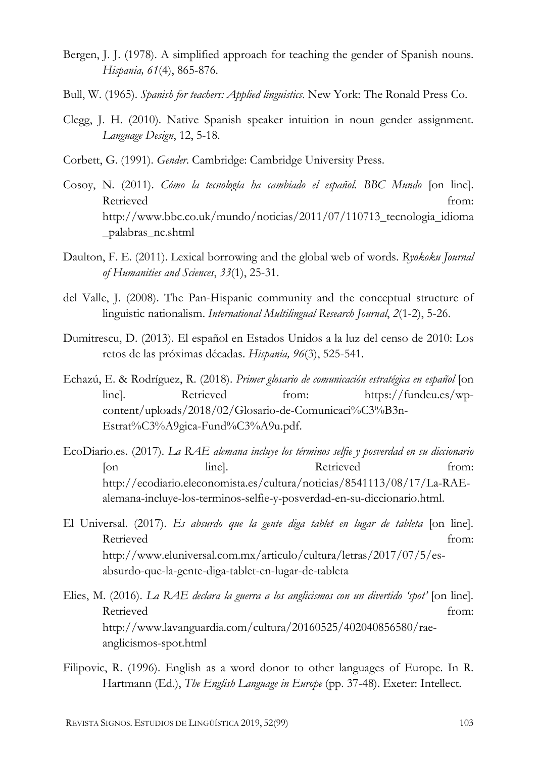- Bergen, J. J. (1978). A simplified approach for teaching the gender of Spanish nouns. *Hispania, 61*(4), 865-876.
- Bull, W. (1965). *Spanish for teachers: Applied linguistics*. New York: The Ronald Press Co.
- Clegg, J. H. (2010). Native Spanish speaker intuition in noun gender assignment. *Language Design*, 12, 5-18.
- Corbett, G. (1991). *Gender*. Cambridge: Cambridge University Press.
- Cosoy, N. (2011). *Cómo la tecnología ha cambiado el español. BBC Mundo* [on line]. Retrieved from: [http://www.bbc.co.uk/mundo/noticias/2011/07/110713\\_tecnologia\\_idioma](http://www.bbc.co.uk/mundo/noticias/2011/07/110713_tecnologia_idioma_palabras_nc.shtml) [\\_palabras\\_nc.shtml](http://www.bbc.co.uk/mundo/noticias/2011/07/110713_tecnologia_idioma_palabras_nc.shtml)
- Daulton, F. E. (2011). Lexical borrowing and the global web of words. *Ryokoku Journal of Humanities and Sciences*, *33*(1), 25-31.
- del Valle, J. (2008). The Pan-Hispanic community and the conceptual structure of linguistic nationalism. *International Multilingual Research Journal*, *2*(1-2), 5-26.
- Dumitrescu, D. (2013). El español en Estados Unidos a la luz del censo de 2010: Los retos de las próximas décadas. *Hispania, 96*(3), 525-541.
- Echazú, E. & Rodríguez, R. (2018). *Primer glosario de comunicación estratégica en español* [on line]. Retrieved from: https://fundeu.es/wpcontent/uploads/2018/02/Glosario-de-Comunicaci%C3%B3n-Estrat%C3%A9gica-Fund%C3%A9u.pdf.
- EcoDiario.es. (2017). *La RAE alemana incluye los términos selfie y posverdad en su diccionario* [on line]. Retrieved from: [http://ecodiario.eleconomista.es/cultura/noticias/8541113/08/17/La-RAE](http://ecodiario.eleconomista.es/cultura/noticias/8541113/08/17/La-RAE-%09alemana-incluye-los-terminos-selfie-y-posverdad-en-su-diccionario.html)[alemana-incluye-los-terminos-selfie-y-posverdad-en-su-diccionario.html.](http://ecodiario.eleconomista.es/cultura/noticias/8541113/08/17/La-RAE-%09alemana-incluye-los-terminos-selfie-y-posverdad-en-su-diccionario.html)
- El Universal. (2017). *Es absurdo que la gente diga tablet en lugar de tableta* [on line]. Retrieved from: [http://www.eluniversal.com.mx/articulo/cultura/letras/2017/07/5/es](http://www.eluniversal.com.mx/articulo/cultura/letras/2017/07/5/es-absurdo-%09que-la-gente-diga-tablet-en-lugar-de-tableta)[absurdo-que-la-gente-diga-tablet-en-lugar-de-tableta](http://www.eluniversal.com.mx/articulo/cultura/letras/2017/07/5/es-absurdo-%09que-la-gente-diga-tablet-en-lugar-de-tableta)
- Elies, M. (2016). *La RAE declara la guerra a los anglicismos con un divertido 'spot'* [on line]. Retrieved from: [http://www.lavanguardia.com/cultura/20160525/402040856580/rae](http://www.lavanguardia.com/cultura/20160525/402040856580/rae-%09anglicismos-spot.html)[anglicismos-spot.html](http://www.lavanguardia.com/cultura/20160525/402040856580/rae-%09anglicismos-spot.html)
- Filipovic, R. (1996). English as a word donor to other languages of Europe. In R. Hartmann (Ed.), *The English Language in Europe* (pp. 37-48). Exeter: Intellect.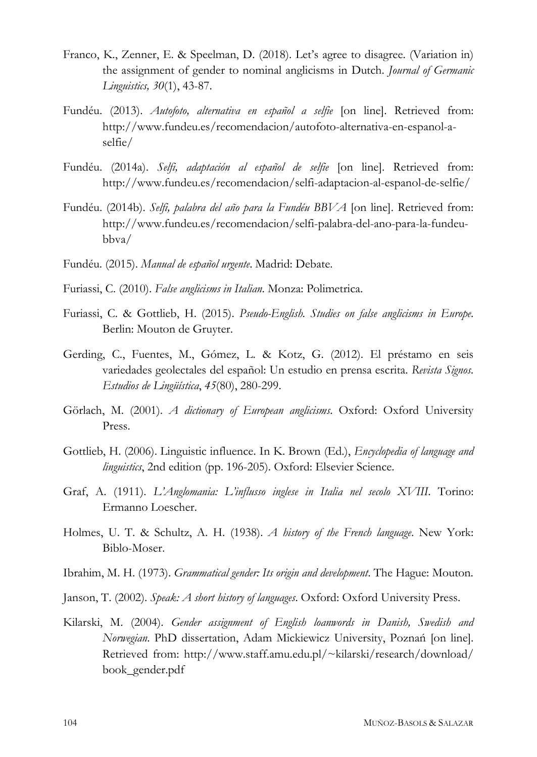- Franco, K., Zenner, E. & Speelman, D. (2018). Let's agree to disagree. (Variation in) the assignment of gender to nominal anglicisms in Dutch. *Journal of Germanic Linguistics, 30*(1), 43-87.
- Fundéu. (2013). *Autofoto, alternativa en español a selfie* [on line]. Retrieved from: [http://www.fundeu.es/recomendacion/autofoto-alternativa-en-espanol-a](http://www.fundeu.es/recomendacion/autofoto-alternativa-en-espanol-a-selfie/)[selfie/](http://www.fundeu.es/recomendacion/autofoto-alternativa-en-espanol-a-selfie/)
- Fundéu. (2014a). *Selfi, adaptación al español de selfie* [on line]. Retrieved from: <http://www.fundeu.es/recomendacion/selfi-adaptacion-al-espanol-de-selfie/>
- Fundéu. (2014b). *Selfi, palabra del año para la Fundéu BBVA* [on line]. Retrieved from: [http://www.fundeu.es/recomendacion/selfi-palabra-del-ano-para-la-fundeu](http://www.fundeu.es/recomendacion/selfi-palabra-del-ano-para-la-fundeu-bbva/)[bbva/](http://www.fundeu.es/recomendacion/selfi-palabra-del-ano-para-la-fundeu-bbva/)
- Fundéu. (2015). *Manual de español urgente*. Madrid: Debate.
- Furiassi, C. (2010). *False anglicisms in Italian*. Monza: Polimetrica.
- Furiassi, C. & Gottlieb, H. (2015). *Pseudo-English. Studies on false anglicisms in Europe*. Berlin: Mouton de Gruyter.
- Gerding, C., Fuentes, M., Gómez, L. & Kotz, G. (2012). El préstamo en seis variedades geolectales del español: Un estudio en prensa escrita. *Revista Signos. Estudios de Lingüística*, *45*(80), 280-299.
- Görlach, M. (2001). *A dictionary of European anglicisms*. Oxford: Oxford University Press.
- Gottlieb, H. (2006). Linguistic influence. In K. Brown (Ed.), *Encyclopedia of language and linguistics*, 2nd edition (pp. 196-205). Oxford: Elsevier Science.
- Graf, A. (1911). *L'Anglomania: L'influsso inglese in Italia nel secolo XVIII*. Torino: Ermanno Loescher.
- Holmes, U. T. & Schultz, A. H. (1938). *A history of the French language*. New York: Biblo-Moser.
- Ibrahim, M. H. (1973). *Grammatical gender: Its origin and development*. The Hague: Mouton.
- Janson, T. (2002). *Speak: A short history of languages*. Oxford: Oxford University Press.
- Kilarski, M. (2004). *Gender assignment of English loanwords in Danish, Swedish and Norwegian*. PhD dissertation, Adam Mickiewicz University, Poznań [on line]. Retrieved from: [http://www.staff.amu.edu.pl/~kilarski/research/download/](http://www.staff.amu.edu.pl/%7Ekilarski/research/download/book_gender.pdf) [book\\_gender.pdf](http://www.staff.amu.edu.pl/%7Ekilarski/research/download/book_gender.pdf)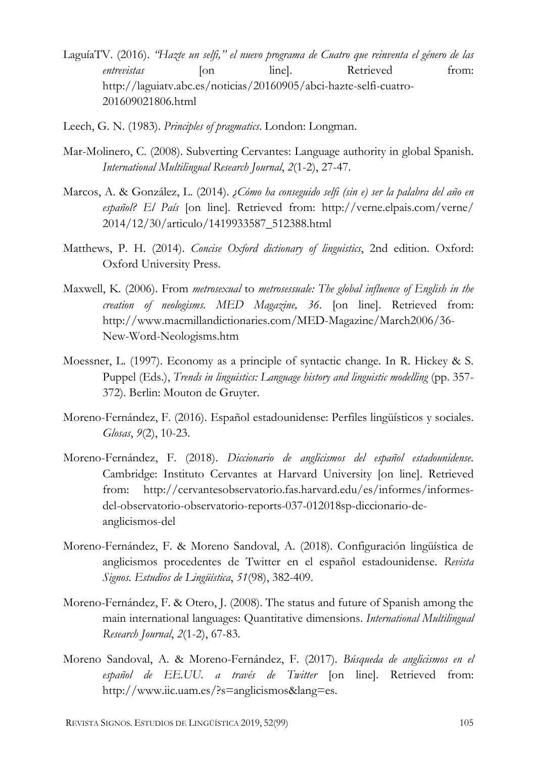- LaguíaTV. (2016). *"Hazte un selfi," el nuevo programa de Cuatro que reinventa el género de las entrevistas* [on line]. Retrieved from: [http://laguiatv.abc.es/noticias/20160905/abci-hazte-selfi-cuatro-](http://laguiatv.abc.es/noticias/20160905/abci-%09hazte-selfi-cuatro-%09201609021806.html)[201609021806.html](http://laguiatv.abc.es/noticias/20160905/abci-%09hazte-selfi-cuatro-%09201609021806.html)
- Leech, G. N. (1983). *Principles of pragmatics*. London: Longman.
- Mar-Molinero, C. (2008). Subverting Cervantes: Language authority in global Spanish. *International Multilingual Research Journal*, *2*(1-2), 27-47.
- Marcos, A. & González, L. (2014). *¿Cómo ha conseguido selfi (sin e) ser la palabra del año en español? El País* [on line]. Retrieved from: http://verne.elpais.com/verne/ 2014/12/30/articulo/1419933587\_512388.html
- Matthews, P. H. (2014). *Concise Oxford dictionary of linguistics*, 2nd edition. Oxford: Oxford University Press.
- Maxwell, K. (2006). From *metrosexual* to *metrosessuale: The global influence of English in the creation of neologisms. MED Magazine, 36*. [on line]. Retrieved from: [http://www.macmillandictionaries.com/MED-Magazine/March2006/36-](http://www.macmillandictionaries.com/MED-Magazine/March2006/36-%09New-Word-Neologisms.htm) [New-Word-Neologisms.htm](http://www.macmillandictionaries.com/MED-Magazine/March2006/36-%09New-Word-Neologisms.htm)
- Moessner, L. (1997). Economy as a principle of syntactic change. In R. Hickey & S. Puppel (Eds.), *Trends in linguistics: Language history and linguistic modelling* (pp. 357- 372). Berlin: Mouton de Gruyter.
- Moreno-Fernández, F. (2016). Español estadounidense: Perfiles lingüísticos y sociales. *Glosas*, *9*(2), 10-23.
- Moreno-Fernández, F. (2018). *Diccionario de anglicismos del español estadounidense*. Cambridge: Instituto Cervantes at Harvard University [on line]. Retrieved from: [http://cervantesobservatorio.fas.harvard.edu/es/informes/informes](http://cervantesobservatorio.fas.harvard.edu/es/informes/informes-del-%09observatorio-observatorio-reports-037-012018sp-diccionario-de-anglicismos-%09del)[del-observatorio-observatorio-reports-037-012018sp-diccionario-de](http://cervantesobservatorio.fas.harvard.edu/es/informes/informes-del-%09observatorio-observatorio-reports-037-012018sp-diccionario-de-anglicismos-%09del)[anglicismos-del](http://cervantesobservatorio.fas.harvard.edu/es/informes/informes-del-%09observatorio-observatorio-reports-037-012018sp-diccionario-de-anglicismos-%09del)
- Moreno-Fernández, F. & Moreno Sandoval, A. (2018). Configuración lingüística de anglicismos procedentes de Twitter en el español estadounidense. *Revista Signos. Estudios de Lingüística*, *51*(98), 382-409.
- Moreno-Fernández, F. & Otero, J. (2008). The status and future of Spanish among the main international languages: Quantitative dimensions. *International Multilingual Research Journal*, *2*(1-2), 67-83.
- Moreno Sandoval, A. & Moreno-Fernández, F. (2017). *Búsqueda de anglicismos en el español de EE.UU. a través de Twitter* [on line]. Retrieved from: [http://www.iic.uam.es/?s=anglicismos&lang=es.](http://www.iic.uam.es/?s=anglicismos&lang=es)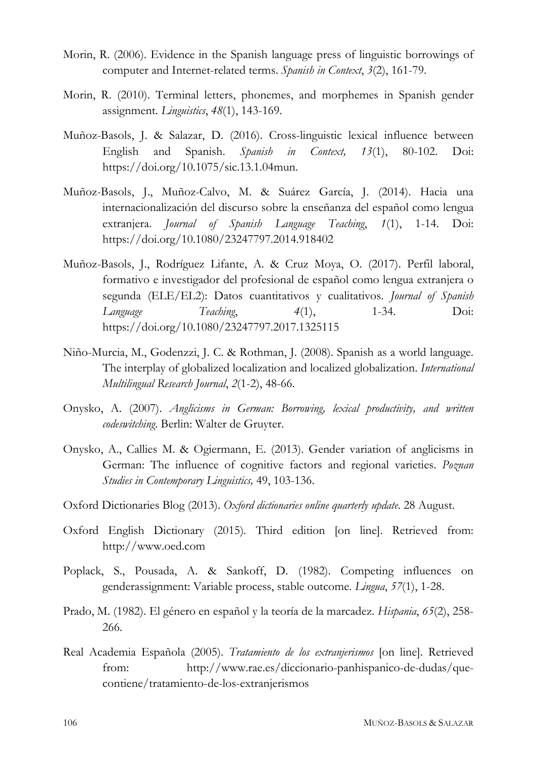- Morin, R. (2006). Evidence in the Spanish language press of linguistic borrowings of computer and Internet-related terms. *Spanish in Context*, *3*(2), 161-79.
- Morin, R. (2010). Terminal letters, phonemes, and morphemes in Spanish gender assignment. *Linguistics*, *48*(1), 143-169.
- Muñoz-Basols, J. & Salazar, D. (2016). Cross-linguistic lexical influence between English and Spanish. *Spanish in Context, 13*(1), 80-102. Doi: https://doi.org/10.1075/sic.13.1.04mun.
- Muñoz-Basols, J., Muñoz-Calvo, M. & Suárez García, J. (2014). Hacia una internacionalización del discurso sobre la enseñanza del español como lengua extranjera. *Journal of Spanish Language Teaching*, *1*(1), 1-14. Doi: <https://doi.org/10.1080/23247797.2014.918402>
- Muñoz-Basols, J., Rodríguez Lifante, A. & Cruz Moya, O. (2017). Perfil laboral, formativo e investigador del profesional de español como lengua extranjera o segunda (ELE/EL2): Datos cuantitativos y cualitativos. *Journal of Spanish Language Teaching*, *4*(1), 1-34. Doi: <https://doi.org/10.1080/23247797.2017.1325115>
- Niño-Murcia, M., Godenzzi, J. C. & Rothman, J. (2008). Spanish as a world language. The interplay of globalized localization and localized globalization. *International Multilingual Research Journal*, *2*(1-2), 48-66.
- Onysko, A. (2007). *Anglicisms in German: Borrowing, lexical productivity, and written codeswitching*. Berlin: Walter de Gruyter.
- Onysko, A., Callies M. & Ogiermann, E. (2013). Gender variation of anglicisms in German: The influence of cognitive factors and regional varieties. *Poznan Studies in Contemporary Linguistics,* 49, 103-136.
- Oxford Dictionaries Blog (2013). *Oxford dictionaries online quarterly update*. 28 August.
- Oxford English Dictionary (2015)*.* Third edition [on line]. Retrieved from: http:/[/www.oed.com](http://www.oed.com/)
- Poplack, S., Pousada, A. & Sankoff, D. (1982). Competing influences on genderassignment: Variable process, stable outcome. *Lingua*, *57*(1), 1-28.
- Prado, M. (1982). El género en español y la teoría de la marcadez. *Hispania*, *65*(2), 258- 266.
- Real Academia Española (2005). *Tratamiento de los extranjerismos* [on line]. Retrieved from: [http://www.rae.es/diccionario-panhispanico-de-dudas/que](http://www.rae.es/diccionario-panhispanico-de-dudas/que-contiene/tratamiento-de-los-extranjerismos)[contiene/tratamiento-de-los-extranjerismos](http://www.rae.es/diccionario-panhispanico-de-dudas/que-contiene/tratamiento-de-los-extranjerismos)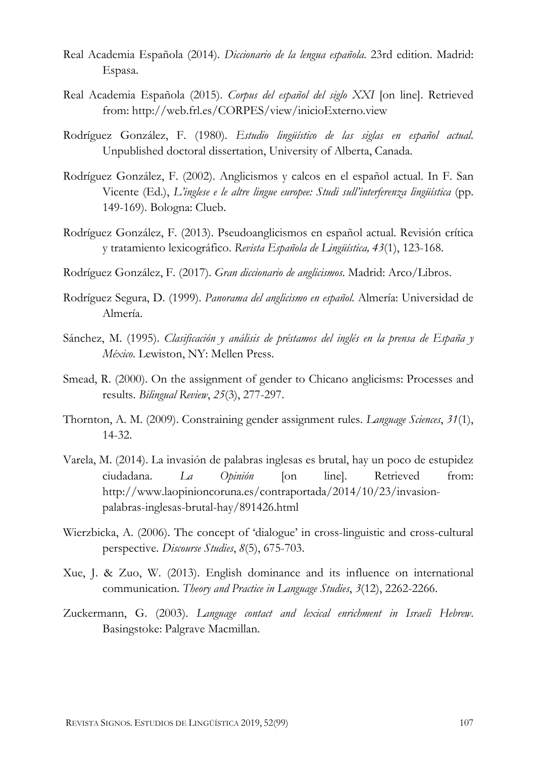- Real Academia Española (2014). *Diccionario de la lengua española*. 23rd edition. Madrid: Espasa.
- Real Academia Española (2015). *Corpus del español del siglo XXI* [on line]. Retrieved from:<http://web.frl.es/CORPES/view/inicioExterno.view>
- Rodríguez González, F. (1980). *Estudio lingüístico de las siglas en español actual*. Unpublished doctoral dissertation, University of Alberta, Canada.
- Rodríguez González, F. (2002). Anglicismos y calcos en el español actual. In F. San Vicente (Ed.), *L'inglese e le altre lingue europee: Studi sull'interferenza lingüística* (pp. 149-169). Bologna: Clueb.
- Rodríguez González, F. (2013). Pseudoanglicismos en español actual. Revisión crítica y tratamiento lexicográfico. *Revista Española de Lingüística, 43*(1), 123-168.
- Rodríguez González, F. (2017). *Gran diccionario de anglicismos*. Madrid: Arco/Libros.
- Rodríguez Segura, D. (1999). *Panorama del anglicismo en español*. Almería: Universidad de Almería.
- Sánchez, M. (1995). *Clasificación y análisis de préstamos del inglés en la prensa de España y México*. Lewiston, NY: Mellen Press.
- Smead, R. (2000). On the assignment of gender to Chicano anglicisms: Processes and results. *Bilingual Review*, *25*(3), 277-297.
- Thornton, A. M. (2009). Constraining gender assignment rules. *Language Sciences*, *31*(1), 14-32.
- Varela, M. (2014). La invasión de palabras inglesas es brutal, hay un poco de estupidez ciudadana. *La Opinión* [on line]. Retrieved from: [http://www.laopinioncoruna.es/contraportada/2014/10/23/invasion](http://www.laopinioncoruna.es/contraportada/2014/10/23/invasion-palabras-%09inglesas-brutal-hay/891426.html)[palabras-inglesas-brutal-hay/891426.html](http://www.laopinioncoruna.es/contraportada/2014/10/23/invasion-palabras-%09inglesas-brutal-hay/891426.html)
- Wierzbicka, A. (2006). The concept of 'dialogue' in cross-linguistic and cross-cultural perspective. *Discourse Studies*, *8*(5), 675-703.
- Xue, J. & Zuo, W. (2013). English dominance and its influence on international communication. *Theory and Practice in Language Studies*, *3*(12), 2262-2266.
- Zuckermann, G. (2003). *Language contact and lexical enrichment in Israeli Hebrew*. Basingstoke: Palgrave Macmillan.